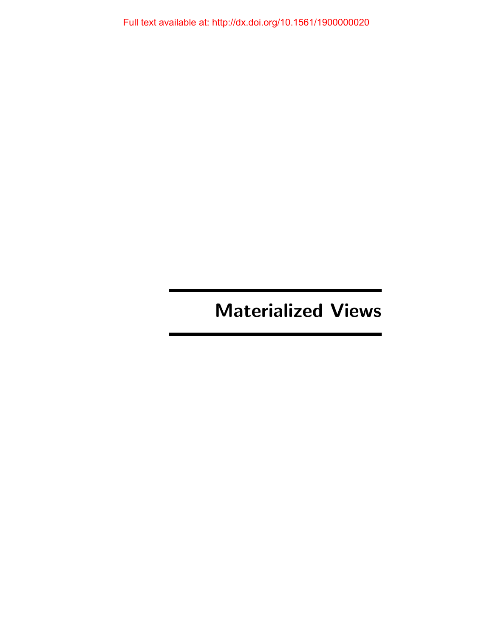# Materialized Views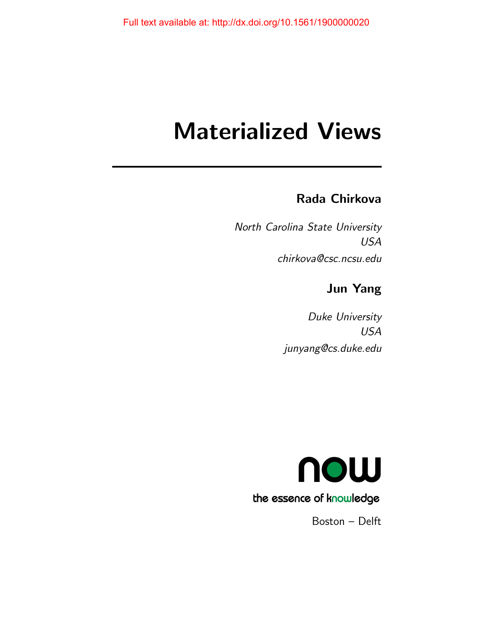# Materialized Views

# Rada Chirkova

North Carolina State University USA chirkova@csc.ncsu.edu

# Jun Yang

Duke University USA junyang@cs.duke.edu



Boston – Delft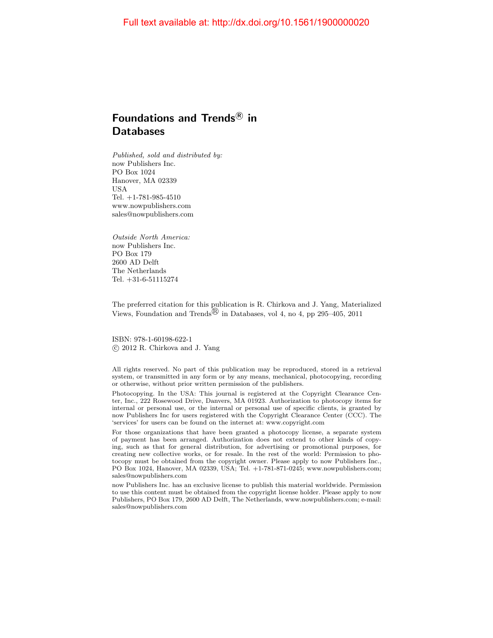## Foundations and Trends ${}^{\text{\textregistered}}$  in **Databases**

Published, sold and distributed by: now Publishers Inc. PO Box 1024 Hanover, MA 02339 USA Tel. +1-781-985-4510 www.nowpublishers.com sales@nowpublishers.com

Outside North America: now Publishers Inc. PO Box 179 2600 AD Delft The Netherlands Tel. +31-6-51115274

The preferred citation for this publication is R. Chirkova and J. Yang, Materialized Views, Foundation and Trends<sup> $\overline{R}$ </sup> in Databases, vol 4, no 4, pp 295–405, 2011

ISBN: 978-1-60198-622-1 c 2012 R. Chirkova and J. Yang

All rights reserved. No part of this publication may be reproduced, stored in a retrieval system, or transmitted in any form or by any means, mechanical, photocopying, recording or otherwise, without prior written permission of the publishers.

Photocopying. In the USA: This journal is registered at the Copyright Clearance Center, Inc., 222 Rosewood Drive, Danvers, MA 01923. Authorization to photocopy items for internal or personal use, or the internal or personal use of specific clients, is granted by now Publishers Inc for users registered with the Copyright Clearance Center (CCC). The 'services' for users can be found on the internet at: www.copyright.com

For those organizations that have been granted a photocopy license, a separate system of payment has been arranged. Authorization does not extend to other kinds of copying, such as that for general distribution, for advertising or promotional purposes, for creating new collective works, or for resale. In the rest of the world: Permission to photocopy must be obtained from the copyright owner. Please apply to now Publishers Inc., PO Box 1024, Hanover, MA 02339, USA; Tel. +1-781-871-0245; www.nowpublishers.com; sales@nowpublishers.com

now Publishers Inc. has an exclusive license to publish this material worldwide. Permission to use this content must be obtained from the copyright license holder. Please apply to now Publishers, PO Box 179, 2600 AD Delft, The Netherlands, www.nowpublishers.com; e-mail: sales@nowpublishers.com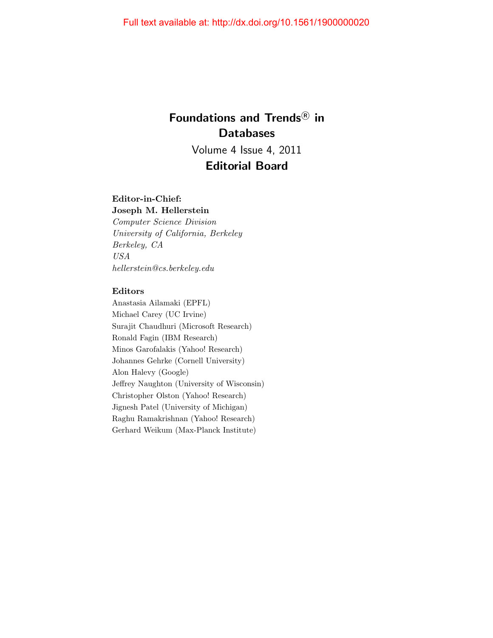# Foundations and Trends<sup>®</sup> in **Databases** Volume 4 Issue 4, 2011

# Editorial Board

### Editor-in-Chief:

Joseph M. Hellerstein Computer Science Division University of California, Berkeley Berkeley, CA USA hellerstein@cs.berkeley.edu

#### Editors

Anastasia Ailamaki (EPFL) Michael Carey (UC Irvine) Surajit Chaudhuri (Microsoft Research) Ronald Fagin (IBM Research) Minos Garofalakis (Yahoo! Research) Johannes Gehrke (Cornell University) Alon Halevy (Google) Jeffrey Naughton (University of Wisconsin) Christopher Olston (Yahoo! Research) Jignesh Patel (University of Michigan) Raghu Ramakrishnan (Yahoo! Research) Gerhard Weikum (Max-Planck Institute)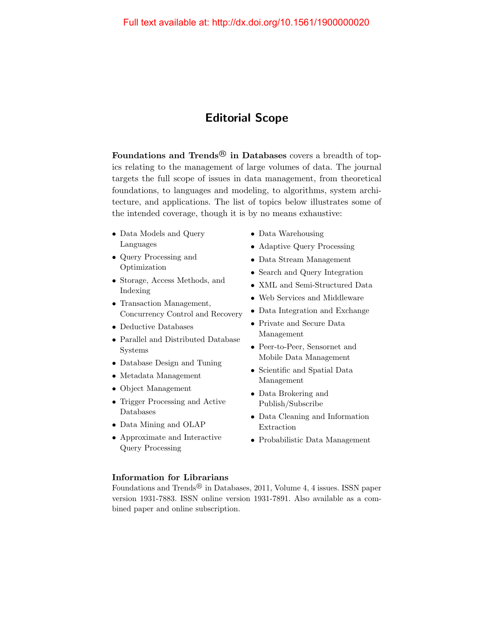## Editorial Scope

Foundations and Trends<sup>®</sup> in Databases covers a breadth of topics relating to the management of large volumes of data. The journal targets the full scope of issues in data management, from theoretical foundations, to languages and modeling, to algorithms, system architecture, and applications. The list of topics below illustrates some of the intended coverage, though it is by no means exhaustive:

- Data Models and Query Languages
- Query Processing and Optimization
- Storage, Access Methods, and Indexing
- Transaction Management, Concurrency Control and Recovery
- Deductive Databases
- Parallel and Distributed Database Systems
- Database Design and Tuning
- Metadata Management
- Object Management
- Trigger Processing and Active Databases
- Data Mining and OLAP
- Approximate and Interactive Query Processing
- Data Warehousing
- Adaptive Query Processing
- Data Stream Management
- Search and Query Integration
- XML and Semi-Structured Data
- Web Services and Middleware
- Data Integration and Exchange
- Private and Secure Data Management
- Peer-to-Peer, Sensornet and Mobile Data Management
- Scientific and Spatial Data Management
- Data Brokering and Publish/Subscribe
- Data Cleaning and Information Extraction
- Probabilistic Data Management

#### Information for Librarians

Foundations and Trends<sup>®</sup> in Databases, 2011, Volume 4, 4 issues. ISSN paper version 1931-7883. ISSN online version 1931-7891. Also available as a combined paper and online subscription.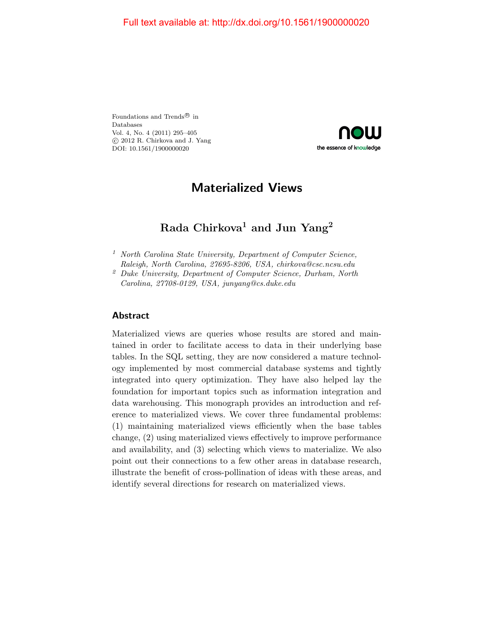Foundations and Trends<br> $^{\circledR}$  in Databases Vol. 4, No. 4 (2011) 295–405 c 2012 R. Chirkova and J. Yang DOI: 10.1561/1900000020



### Materialized Views

# Rada Chirkova<sup>1</sup> and Jun Yang<sup>2</sup>

<sup>1</sup> North Carolina State University, Department of Computer Science, Raleigh, North Carolina, 27695-8206, USA, chirkova@csc.ncsu.edu

<sup>2</sup> Duke University, Department of Computer Science, Durham, North Carolina, 27708-0129, USA, junyang@cs.duke.edu

#### Abstract

Materialized views are queries whose results are stored and maintained in order to facilitate access to data in their underlying base tables. In the SQL setting, they are now considered a mature technology implemented by most commercial database systems and tightly integrated into query optimization. They have also helped lay the foundation for important topics such as information integration and data warehousing. This monograph provides an introduction and reference to materialized views. We cover three fundamental problems: (1) maintaining materialized views efficiently when the base tables change, (2) using materialized views effectively to improve performance and availability, and (3) selecting which views to materialize. We also point out their connections to a few other areas in database research, illustrate the benefit of cross-pollination of ideas with these areas, and identify several directions for research on materialized views.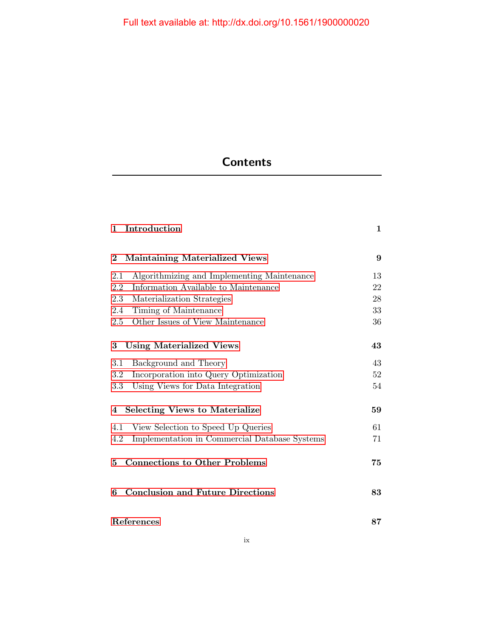# **Contents**

| Introduction<br>1                                       | $\mathbf{1}$ |
|---------------------------------------------------------|--------------|
| <b>Maintaining Materialized Views</b><br>$\bf{2}$       | 9            |
| Algorithmizing and Implementing Maintenance<br>2.1      | 13           |
| Information Available to Maintenance<br>2.2             | 22           |
| 2.3<br>Materialization Strategies                       | 28           |
| Timing of Maintenance<br>2.4                            | 33           |
| Other Issues of View Maintenance<br>2.5                 | 36           |
| 3<br><b>Using Materialized Views</b>                    | 43           |
| Background and Theory<br>3.1                            | 43           |
| Incorporation into Query Optimization<br>3.2            | 52           |
| Using Views for Data Integration<br>3.3                 | 54           |
| <b>Selecting Views to Materialize</b><br>$\overline{4}$ | 59           |
| View Selection to Speed Up Queries<br>4.1               | 61           |
| Implementation in Commercial Database Systems<br>4.2    | 71           |
| <b>Connections to Other Problems</b><br>5               | 75           |
| <b>Conclusion and Future Directions</b><br>6            | 83           |
| References                                              | 87           |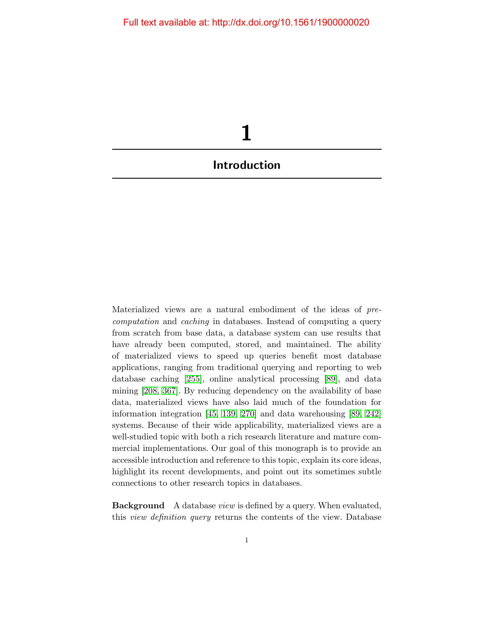<span id="page-7-0"></span>

Materialized views are a natural embodiment of the ideas of precomputation and caching in databases. Instead of computing a query from scratch from base data, a database system can use results that have already been computed, stored, and maintained. The ability of materialized views to speed up queries benefit most database applications, ranging from traditional querying and reporting to web database caching [\[255\]](#page-31-0), online analytical processing [\[89\]](#page-20-0), and data mining [\[208,](#page-28-0) [367\]](#page-39-0). By reducing dependency on the availability of base data, materialized views have also laid much of the foundation for information integration [\[45,](#page-17-0) [139,](#page-23-0) [270\]](#page-32-0) and data warehousing [\[89,](#page-20-0) [242\]](#page-30-0) systems. Because of their wide applicability, materialized views are a well-studied topic with both a rich research literature and mature commercial implementations. Our goal of this monograph is to provide an accessible introduction and reference to this topic, explain its core ideas, highlight its recent developments, and point out its sometimes subtle connections to other research topics in databases.

Background A database view is defined by a query. When evaluated, this view definition query returns the contents of the view. Database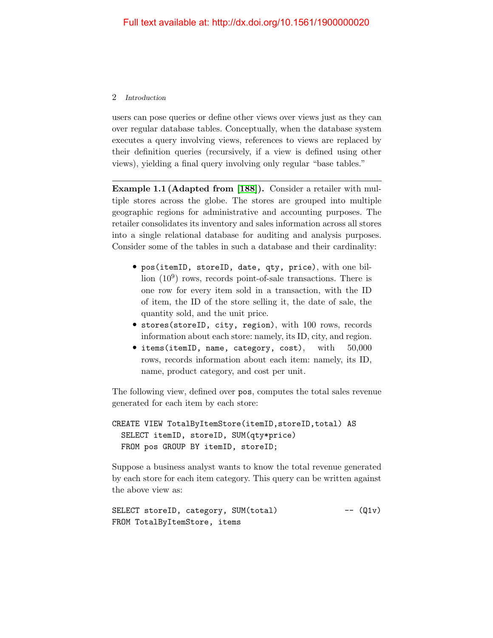#### 2 Introduction

users can pose queries or define other views over views just as they can over regular database tables. Conceptually, when the database system executes a query involving views, references to views are replaced by their definition queries (recursively, if a view is defined using other views), yielding a final query involving only regular "base tables."

<span id="page-8-0"></span>Example 1.1 (Adapted from [\[188\]](#page-27-0)). Consider a retailer with multiple stores across the globe. The stores are grouped into multiple geographic regions for administrative and accounting purposes. The retailer consolidates its inventory and sales information across all stores into a single relational database for auditing and analysis purposes. Consider some of the tables in such a database and their cardinality:

- pos(itemID, storeID, date, qty, price), with one billion  $(10^9)$  rows, records point-of-sale transactions. There is one row for every item sold in a transaction, with the ID of item, the ID of the store selling it, the date of sale, the quantity sold, and the unit price.
- stores(storeID, city, region), with 100 rows, records information about each store: namely, its ID, city, and region.
- items(itemID, name, category, cost), with  $50,000$ rows, records information about each item: namely, its ID, name, product category, and cost per unit.

The following view, defined over pos, computes the total sales revenue generated for each item by each store:

```
CREATE VIEW TotalByItemStore(itemID,storeID,total) AS
  SELECT itemID, storeID, SUM(qty*price)
 FROM pos GROUP BY itemID, storeID;
```
Suppose a business analyst wants to know the total revenue generated by each store for each item category. This query can be written against the above view as:

```
SELECT storeID, category, SUM(total) -(-01v)FROM TotalByItemStore, items
```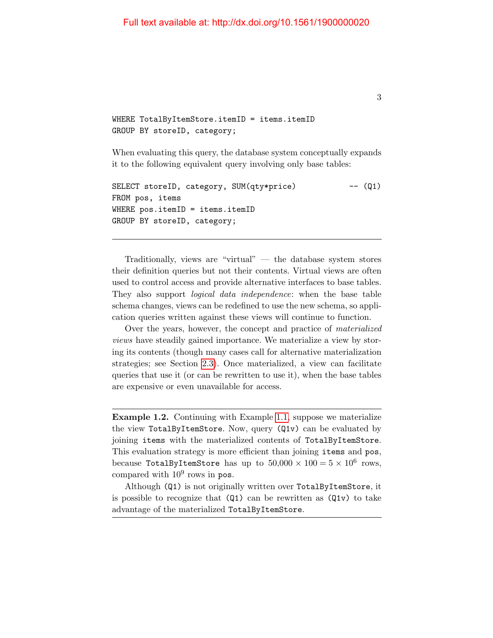```
WHERE TotalByItemStore.itemID = items.itemID
GROUP BY storeID, category;
```
When evaluating this query, the database system conceptually expands it to the following equivalent query involving only base tables:

```
SELECT storeID, category, SUM(qty*price) -- (Q1)
FROM pos, items
WHERE pos.itemID = items.itemID
GROUP BY storeID, category;
```
Traditionally, views are "virtual" — the database system stores their definition queries but not their contents. Virtual views are often used to control access and provide alternative interfaces to base tables. They also support logical data independence: when the base table schema changes, views can be redefined to use the new schema, so application queries written against these views will continue to function.

Over the years, however, the concept and practice of materialized views have steadily gained importance. We materialize a view by storing its contents (though many cases call for alternative materialization strategies; see Section [2.3\)](#page--1-2). Once materialized, a view can facilitate queries that use it (or can be rewritten to use it), when the base tables are expensive or even unavailable for access.

<span id="page-9-0"></span>Example 1.2. Continuing with Example [1.1,](#page-8-0) suppose we materialize the view TotalByItemStore. Now, query (Q1v) can be evaluated by joining items with the materialized contents of TotalByItemStore. This evaluation strategy is more efficient than joining items and pos, because TotalByItemStore has up to  $50{,}000 \times 100 = 5 \times 10^6$  rows, compared with  $10^9$  rows in pos.

Although (Q1) is not originally written over TotalByItemStore, it is possible to recognize that (Q1) can be rewritten as (Q1v) to take advantage of the materialized TotalByItemStore.

3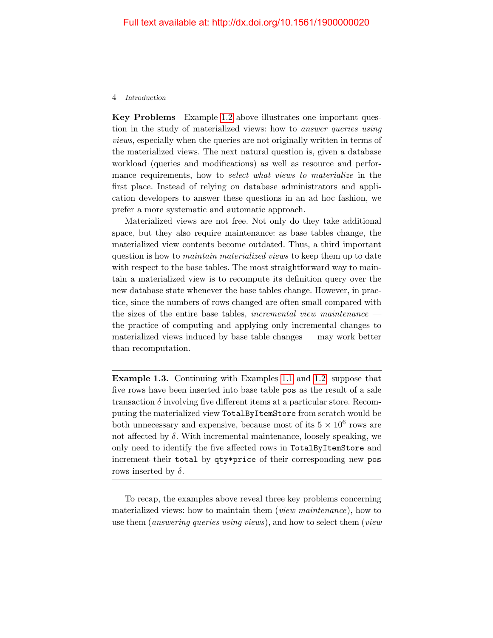#### 4 Introduction

Key Problems Example [1.2](#page-9-0) above illustrates one important question in the study of materialized views: how to answer queries using views, especially when the queries are not originally written in terms of the materialized views. The next natural question is, given a database workload (queries and modifications) as well as resource and performance requirements, how to *select what views to materialize* in the first place. Instead of relying on database administrators and application developers to answer these questions in an ad hoc fashion, we prefer a more systematic and automatic approach.

Materialized views are not free. Not only do they take additional space, but they also require maintenance: as base tables change, the materialized view contents become outdated. Thus, a third important question is how to maintain materialized views to keep them up to date with respect to the base tables. The most straightforward way to maintain a materialized view is to recompute its definition query over the new database state whenever the base tables change. However, in practice, since the numbers of rows changed are often small compared with the sizes of the entire base tables, *incremental view maintenance* the practice of computing and applying only incremental changes to materialized views induced by base table changes — may work better than recomputation.

Example 1.3. Continuing with Examples [1.1](#page-8-0) and [1.2,](#page-9-0) suppose that five rows have been inserted into base table pos as the result of a sale transaction  $\delta$  involving five different items at a particular store. Recomputing the materialized view TotalByItemStore from scratch would be both unnecessary and expensive, because most of its  $5 \times 10^6$  rows are not affected by  $\delta$ . With incremental maintenance, loosely speaking, we only need to identify the five affected rows in TotalByItemStore and increment their total by qty\*price of their corresponding new pos rows inserted by  $\delta$ .

To recap, the examples above reveal three key problems concerning materialized views: how to maintain them (*view maintenance*), how to use them (*answering queries using views*), and how to select them (*view*)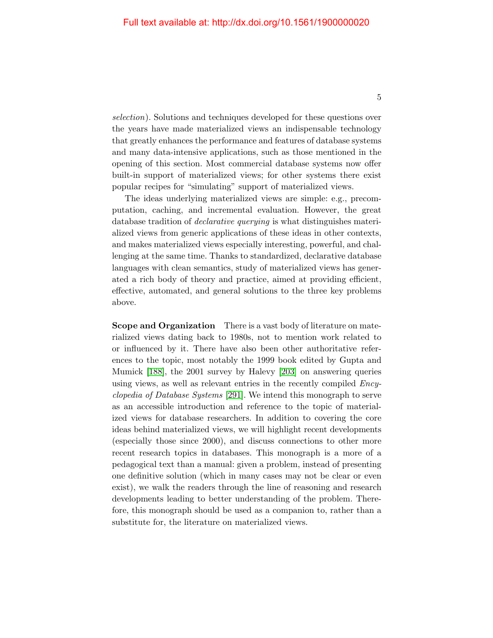selection). Solutions and techniques developed for these questions over the years have made materialized views an indispensable technology that greatly enhances the performance and features of database systems and many data-intensive applications, such as those mentioned in the opening of this section. Most commercial database systems now offer built-in support of materialized views; for other systems there exist popular recipes for "simulating" support of materialized views.

The ideas underlying materialized views are simple: e.g., precomputation, caching, and incremental evaluation. However, the great database tradition of declarative querying is what distinguishes materialized views from generic applications of these ideas in other contexts, and makes materialized views especially interesting, powerful, and challenging at the same time. Thanks to standardized, declarative database languages with clean semantics, study of materialized views has generated a rich body of theory and practice, aimed at providing efficient, effective, automated, and general solutions to the three key problems above.

Scope and Organization There is a vast body of literature on materialized views dating back to 1980s, not to mention work related to or influenced by it. There have also been other authoritative references to the topic, most notably the 1999 book edited by Gupta and Mumick [\[188\]](#page-27-0), the 2001 survey by Halevy [\[203\]](#page-27-1) on answering queries using views, as well as relevant entries in the recently compiled Encyclopedia of Database Systems [\[291\]](#page-34-0). We intend this monograph to serve as an accessible introduction and reference to the topic of materialized views for database researchers. In addition to covering the core ideas behind materialized views, we will highlight recent developments (especially those since 2000), and discuss connections to other more recent research topics in databases. This monograph is a more of a pedagogical text than a manual: given a problem, instead of presenting one definitive solution (which in many cases may not be clear or even exist), we walk the readers through the line of reasoning and research developments leading to better understanding of the problem. Therefore, this monograph should be used as a companion to, rather than a substitute for, the literature on materialized views.

5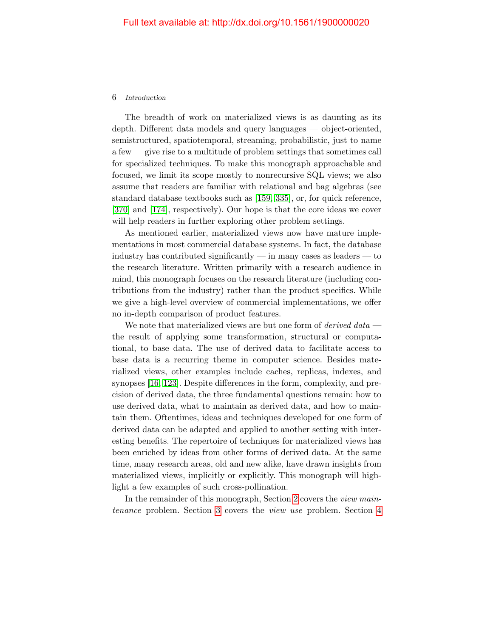#### 6 Introduction

The breadth of work on materialized views is as daunting as its depth. Different data models and query languages — object-oriented, semistructured, spatiotemporal, streaming, probabilistic, just to name a few — give rise to a multitude of problem settings that sometimes call for specialized techniques. To make this monograph approachable and focused, we limit its scope mostly to nonrecursive SQL views; we also assume that readers are familiar with relational and bag algebras (see standard database textbooks such as [\[159,](#page-25-0) [335\]](#page-37-0), or, for quick reference, [\[370\]](#page-39-1) and [\[174\]](#page-26-0), respectively). Our hope is that the core ideas we cover will help readers in further exploring other problem settings.

As mentioned earlier, materialized views now have mature implementations in most commercial database systems. In fact, the database industry has contributed significantly — in many cases as leaders — to the research literature. Written primarily with a research audience in mind, this monograph focuses on the research literature (including contributions from the industry) rather than the product specifics. While we give a high-level overview of commercial implementations, we offer no in-depth comparison of product features.

We note that materialized views are but one form of *derived data* the result of applying some transformation, structural or computational, to base data. The use of derived data to facilitate access to base data is a recurring theme in computer science. Besides materialized views, other examples include caches, replicas, indexes, and synopses [\[16,](#page-15-0) [123\]](#page-22-0). Despite differences in the form, complexity, and precision of derived data, the three fundamental questions remain: how to use derived data, what to maintain as derived data, and how to maintain them. Oftentimes, ideas and techniques developed for one form of derived data can be adapted and applied to another setting with interesting benefits. The repertoire of techniques for materialized views has been enriched by ideas from other forms of derived data. At the same time, many research areas, old and new alike, have drawn insights from materialized views, implicitly or explicitly. This monograph will highlight a few examples of such cross-pollination.

In the remainder of this monograph, Section [2](#page--1-0) covers the *view main*tenance problem. Section [3](#page--1-0) covers the view use problem. Section [4](#page--1-0)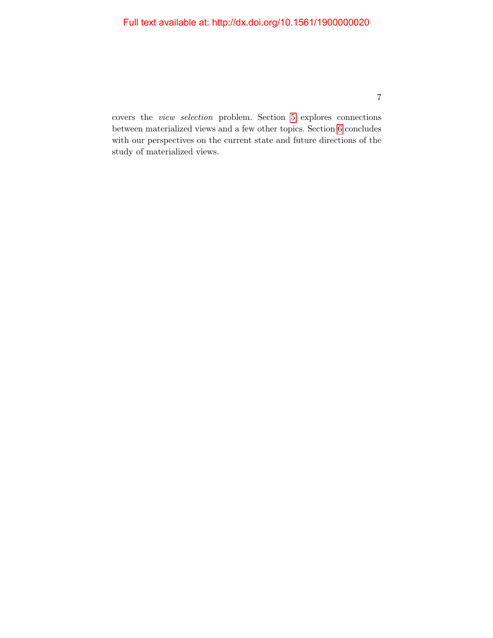covers the view selection problem. Section [5](#page--1-0) explores connections between materialized views and a few other topics. Section [6](#page--1-0) concludes with our perspectives on the current state and future directions of the study of materialized views.

7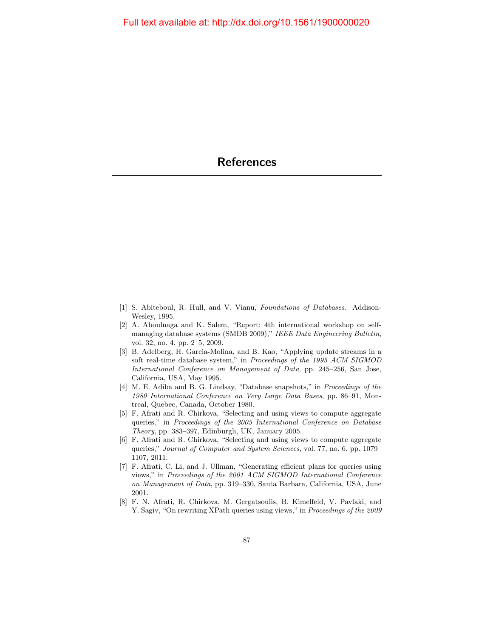- <span id="page-14-0"></span>[1] S. Abiteboul, R. Hull, and V. Vianu, Foundations of Databases. Addison-Wesley, 1995.
- [2] A. Aboulnaga and K. Salem, "Report: 4th international workshop on selfmanaging database systems (SMDB 2009)," IEEE Data Engineering Bulletin, vol. 32, no. 4, pp. 2–5, 2009.
- [3] B. Adelberg, H. Garcia-Molina, and B. Kao, "Applying update streams in a soft real-time database system," in Proceedings of the 1995 ACM SIGMOD International Conference on Management of Data, pp. 245–256, San Jose, California, USA, May 1995.
- [4] M. E. Adiba and B. G. Lindsay, "Database snapshots," in Proceedings of the 1980 International Conference on Very Large Data Bases, pp. 86–91, Montreal, Quebec, Canada, October 1980.
- [5] F. Afrati and R. Chirkova, "Selecting and using views to compute aggregate queries," in Proceedings of the 2005 International Conference on Database Theory, pp. 383–397, Edinburgh, UK, January 2005.
- [6] F. Afrati and R. Chirkova, "Selecting and using views to compute aggregate queries," Journal of Computer and System Sciences, vol. 77, no. 6, pp. 1079– 1107, 2011.
- [7] F. Afrati, C. Li, and J. Ullman, "Generating efficient plans for queries using views," in Proceedings of the 2001 ACM SIGMOD International Conference on Management of Data, pp. 319–330, Santa Barbara, California, USA, June 2001.
- [8] F. N. Afrati, R. Chirkova, M. Gergatsoulis, B. Kimelfeld, V. Pavlaki, and Y. Sagiv, "On rewriting XPath queries using views," in Proceedings of the 2009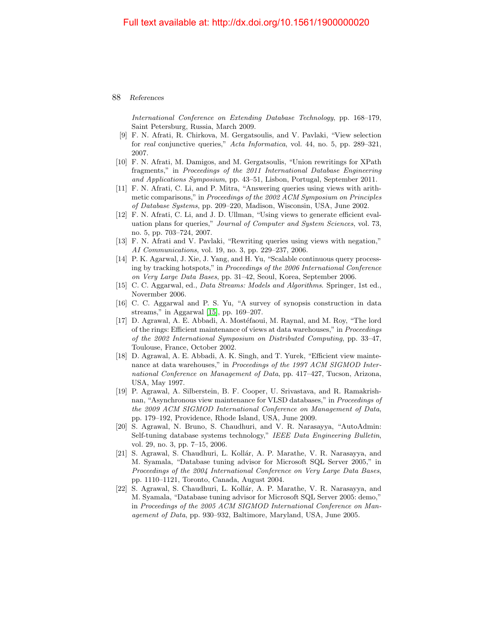International Conference on Extending Database Technology, pp. 168–179, Saint Petersburg, Russia, March 2009.

- [9] F. N. Afrati, R. Chirkova, M. Gergatsoulis, and V. Pavlaki, "View selection for real conjunctive queries," Acta Informatica, vol. 44, no. 5, pp. 289–321, 2007.
- [10] F. N. Afrati, M. Damigos, and M. Gergatsoulis, "Union rewritings for XPath fragments," in Proceedings of the 2011 International Database Engineering and Applications Symposium, pp. 43–51, Lisbon, Portugal, September 2011.
- [11] F. N. Afrati, C. Li, and P. Mitra, "Answering queries using views with arithmetic comparisons," in Proceedings of the 2002 ACM Symposium on Principles of Database Systems, pp. 209–220, Madison, Wisconsin, USA, June 2002.
- [12] F. N. Afrati, C. Li, and J. D. Ullman, "Using views to generate efficient evaluation plans for queries," Journal of Computer and System Sciences, vol. 73, no. 5, pp. 703–724, 2007.
- [13] F. N. Afrati and V. Pavlaki, "Rewriting queries using views with negation," AI Communications, vol. 19, no. 3, pp. 229–237, 2006.
- [14] P. K. Agarwal, J. Xie, J. Yang, and H. Yu, "Scalable continuous query processing by tracking hotspots," in Proceedings of the 2006 International Conference on Very Large Data Bases, pp. 31–42, Seoul, Korea, September 2006.
- <span id="page-15-1"></span>[15] C. C. Aggarwal, ed., *Data Streams: Models and Algorithms*. Springer, 1st ed., Novermber 2006.
- <span id="page-15-0"></span>[16] C. C. Aggarwal and P. S. Yu, "A survey of synopsis construction in data streams," in Aggarwal [\[15\]](#page-15-1), pp. 169–207.
- [17] D. Agrawal, A. E. Abbadi, A. Most´efaoui, M. Raynal, and M. Roy, "The lord of the rings: Efficient maintenance of views at data warehouses," in Proceedings of the 2002 International Symposium on Distributed Computing, pp. 33–47, Toulouse, France, October 2002.
- [18] D. Agrawal, A. E. Abbadi, A. K. Singh, and T. Yurek, "Efficient view maintenance at data warehouses," in Proceedings of the 1997 ACM SIGMOD International Conference on Management of Data, pp. 417–427, Tucson, Arizona, USA, May 1997.
- [19] P. Agrawal, A. Silberstein, B. F. Cooper, U. Srivastava, and R. Ramakrishnan, "Asynchronous view maintenance for VLSD databases," in Proceedings of the 2009 ACM SIGMOD International Conference on Management of Data, pp. 179–192, Providence, Rhode Island, USA, June 2009.
- [20] S. Agrawal, N. Bruno, S. Chaudhuri, and V. R. Narasayya, "AutoAdmin: Self-tuning database systems technology," IEEE Data Engineering Bulletin, vol. 29, no. 3, pp. 7–15, 2006.
- [21] S. Agrawal, S. Chaudhuri, L. Kollár, A. P. Marathe, V. R. Narasayya, and M. Syamala, "Database tuning advisor for Microsoft SQL Server 2005," in Proceedings of the 2004 International Conference on Very Large Data Bases, pp. 1110–1121, Toronto, Canada, August 2004.
- [22] S. Agrawal, S. Chaudhuri, L. Kollár, A. P. Marathe, V. R. Narasayya, and M. Syamala, "Database tuning advisor for Microsoft SQL Server 2005: demo," in Proceedings of the 2005 ACM SIGMOD International Conference on Management of Data, pp. 930–932, Baltimore, Maryland, USA, June 2005.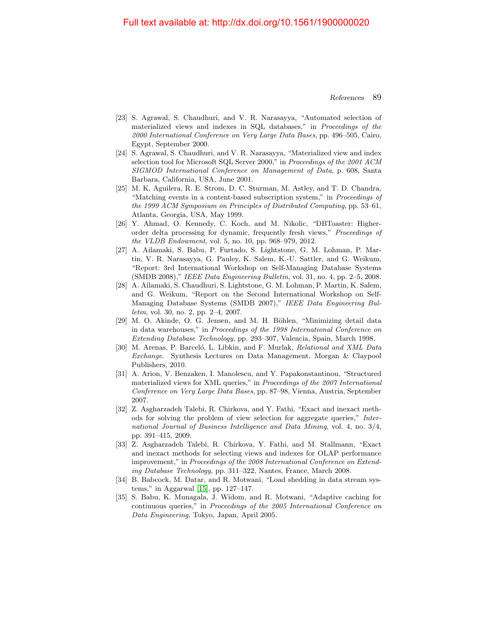- [23] S. Agrawal, S. Chaudhuri, and V. R. Narasayya, "Automated selection of materialized views and indexes in SQL databases," in Proceedings of the 2000 International Conference on Very Large Data Bases, pp. 496–505, Cairo, Egypt, September 2000.
- [24] S. Agrawal, S. Chaudhuri, and V. R. Narasayya, "Materialized view and index selection tool for Microsoft SQL Server 2000," in Proceedings of the 2001 ACM SIGMOD International Conference on Management of Data, p. 608, Santa Barbara, California, USA, June 2001.
- [25] M. K. Aguilera, R. E. Strom, D. C. Sturman, M. Astley, and T. D. Chandra, "Matching events in a content-based subscription system," in Proceedings of the 1999 ACM Symposium on Principles of Distributed Computing, pp. 53–61, Atlanta, Georgia, USA, May 1999.
- [26] Y. Ahmad, O. Kennedy, C. Koch, and M. Nikolic, "DBToaster: Higherorder delta processing for dynamic, frequently fresh views," Proceedings of the VLDB Endowment, vol. 5, no. 10, pp. 968–979, 2012.
- [27] A. Ailamaki, S. Babu, P. Furtado, S. Lightstone, G. M. Lohman, P. Martin, V. R. Narasayya, G. Pauley, K. Salem, K.-U. Sattler, and G. Weikum, "Report: 3rd International Workshop on Self-Managing Database Systems (SMDB 2008)," IEEE Data Engineering Bulletin, vol. 31, no. 4, pp. 2–5, 2008.
- [28] A. Ailamaki, S. Chaudhuri, S. Lightstone, G. M. Lohman, P. Martin, K. Salem, and G. Weikum, "Report on the Second International Workshop on Self-Managing Database Systems (SMDB 2007)," IEEE Data Engineering Bulletin, vol. 30, no. 2, pp. 2–4, 2007.
- [29] M. O. Akinde, O. G. Jensen, and M. H. Böhlen, "Minimizing detail data in data warehouses," in Proceedings of the 1998 International Conference on Extending Database Technology, pp. 293–307, Valencia, Spain, March 1998.
- [30] M. Arenas, P. Barceló, L. Libkin, and F. Murlak, Relational and XML Data Exchange. Synthesis Lectures on Data Management. Morgan & Claypool Publishers, 2010.
- [31] A. Arion, V. Benzaken, I. Manolescu, and Y. Papakonstantinou, "Structured materialized views for XML queries," in Proceedings of the 2007 International Conference on Very Large Data Bases, pp. 87–98, Vienna, Austria, September 2007.
- [32] Z. Asgharzadeh Talebi, R. Chirkova, and Y. Fathi, "Exact and inexact methods for solving the problem of view selection for aggregate queries," International Journal of Business Intelligence and Data Mining, vol. 4, no. 3/4, pp. 391–415, 2009.
- [33] Z. Asgharzadeh Talebi, R. Chirkova, Y. Fathi, and M. Stallmann, "Exact and inexact methods for selecting views and indexes for OLAP performance improvement," in Proceedings of the 2008 International Conference on Extending Database Technology, pp. 311–322, Nantes, France, March 2008.
- [34] B. Babcock, M. Datar, and R. Motwani, "Load shedding in data stream systems," in Aggarwal [\[15\]](#page-15-1), pp. 127–147.
- [35] S. Babu, K. Munagala, J. Widom, and R. Motwani, "Adaptive caching for continuous queries," in Proceedings of the 2005 International Conference on Data Engineering, Tokyo, Japan, April 2005.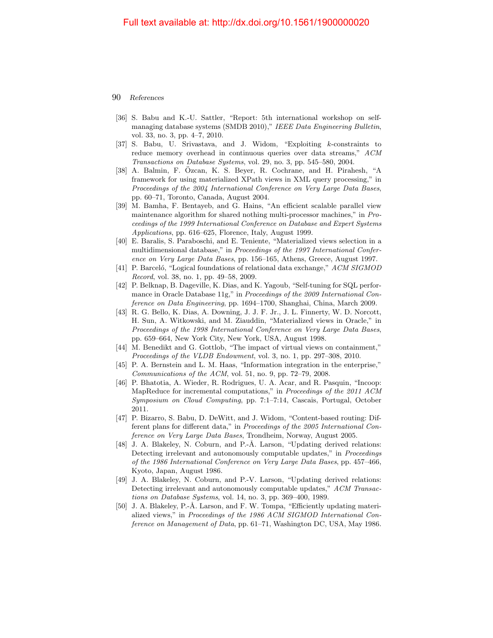- [36] S. Babu and K.-U. Sattler, "Report: 5th international workshop on selfmanaging database systems (SMDB 2010)," IEEE Data Engineering Bulletin, vol. 33, no. 3, pp. 4–7, 2010.
- [37] S. Babu, U. Srivastava, and J. Widom, "Exploiting k-constraints to reduce memory overhead in continuous queries over data streams," ACM Transactions on Database Systems, vol. 29, no. 3, pp. 545–580, 2004.
- [38] A. Balmin, F. Özcan, K. S. Beyer, R. Cochrane, and H. Pirahesh, "A framework for using materialized XPath views in XML query processing," in Proceedings of the 2004 International Conference on Very Large Data Bases, pp. 60–71, Toronto, Canada, August 2004.
- [39] M. Bamha, F. Bentayeb, and G. Hains, "An efficient scalable parallel view maintenance algorithm for shared nothing multi-processor machines," in Proceedings of the 1999 International Conference on Database and Expert Systems Applications, pp. 616–625, Florence, Italy, August 1999.
- [40] E. Baralis, S. Paraboschi, and E. Teniente, "Materialized views selection in a multidimensional database," in Proceedings of the 1997 International Conference on Very Large Data Bases, pp. 156–165, Athens, Greece, August 1997.
- [41] P. Barceló, "Logical foundations of relational data exchange," ACM SIGMOD Record, vol. 38, no. 1, pp. 49–58, 2009.
- [42] P. Belknap, B. Dageville, K. Dias, and K. Yagoub, "Self-tuning for SQL performance in Oracle Database 11g," in Proceedings of the 2009 International Conference on Data Engineering, pp. 1694–1700, Shanghai, China, March 2009.
- [43] R. G. Bello, K. Dias, A. Downing, J. J. F. Jr., J. L. Finnerty, W. D. Norcott, H. Sun, A. Witkowski, and M. Ziauddin, "Materialized views in Oracle," in Proceedings of the 1998 International Conference on Very Large Data Bases, pp. 659–664, New York City, New York, USA, August 1998.
- [44] M. Benedikt and G. Gottlob, "The impact of virtual views on containment," Proceedings of the VLDB Endowment, vol. 3, no. 1, pp. 297–308, 2010.
- <span id="page-17-0"></span>[45] P. A. Bernstein and L. M. Haas, "Information integration in the enterprise," Communications of the ACM, vol. 51, no. 9, pp. 72–79, 2008.
- [46] P. Bhatotia, A. Wieder, R. Rodrigues, U. A. Acar, and R. Pasquin, "Incoop: MapReduce for incremental computations," in Proceedings of the 2011 ACM Symposium on Cloud Computing, pp. 7:1–7:14, Cascais, Portugal, October 2011.
- [47] P. Bizarro, S. Babu, D. DeWitt, and J. Widom, "Content-based routing: Different plans for different data," in Proceedings of the 2005 International Conference on Very Large Data Bases, Trondheim, Norway, August 2005.
- [48] J. A. Blakeley, N. Coburn, and P.-Å. Larson, "Updating derived relations: Detecting irrelevant and autonomously computable updates," in *Proceedings* of the 1986 International Conference on Very Large Data Bases, pp. 457–466, Kyoto, Japan, August 1986.
- [49] J. A. Blakeley, N. Coburn, and P.-V. Larson, "Updating derived relations: Detecting irrelevant and autonomously computable updates," ACM Transactions on Database Systems, vol. 14, no. 3, pp. 369–400, 1989.
- [50] J. A. Blakeley, P.-Å. Larson, and F. W. Tompa, "Efficiently updating materialized views," in Proceedings of the 1986 ACM SIGMOD International Conference on Management of Data, pp. 61–71, Washington DC, USA, May 1986.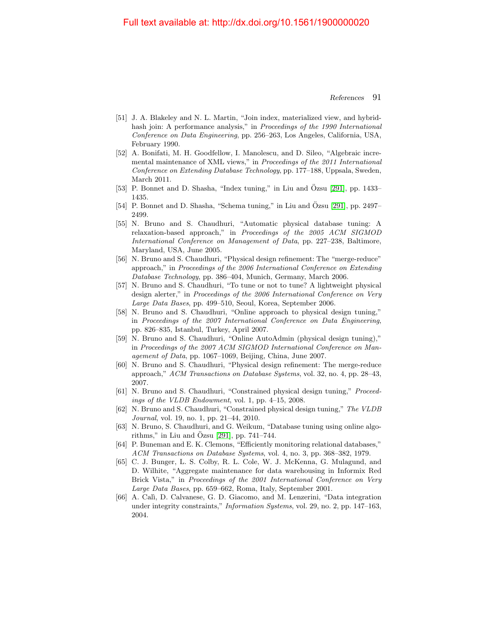- [51] J. A. Blakeley and N. L. Martin, "Join index, materialized view, and hybridhash join: A performance analysis," in Proceedings of the 1990 International Conference on Data Engineering, pp. 256–263, Los Angeles, California, USA, February 1990.
- [52] A. Bonifati, M. H. Goodfellow, I. Manolescu, and D. Sileo, "Algebraic incremental maintenance of XML views," in Proceedings of the 2011 International Conference on Extending Database Technology, pp. 177–188, Uppsala, Sweden, March 2011.
- [53] P. Bonnet and D. Shasha, "Index tuning," in Liu and Ozsu [\[291\]](#page-34-0), pp. 1433– 1435.
- [54] P. Bonnet and D. Shasha, "Schema tuning," in Liu and Ozsu [\[291\]](#page-34-0), pp. 2497– 2499.
- [55] N. Bruno and S. Chaudhuri, "Automatic physical database tuning: A relaxation-based approach," in Proceedings of the 2005 ACM SIGMOD International Conference on Management of Data, pp. 227–238, Baltimore, Maryland, USA, June 2005.
- [56] N. Bruno and S. Chaudhuri, "Physical design refinement: The "merge-reduce" approach," in Proceedings of the 2006 International Conference on Extending Database Technology, pp. 386–404, Munich, Germany, March 2006.
- [57] N. Bruno and S. Chaudhuri, "To tune or not to tune? A lightweight physical design alerter," in *Proceedings of the 2006 International Conference on Very* Large Data Bases, pp. 499–510, Seoul, Korea, September 2006.
- [58] N. Bruno and S. Chaudhuri, "Online approach to physical design tuning," in Proceedings of the 2007 International Conference on Data Engineering, pp. 826–835, Istanbul, Turkey, April 2007.
- [59] N. Bruno and S. Chaudhuri, "Online AutoAdmin (physical design tuning)," in Proceedings of the 2007 ACM SIGMOD International Conference on Management of Data, pp. 1067–1069, Beijing, China, June 2007.
- [60] N. Bruno and S. Chaudhuri, "Physical design refinement: The merge-reduce approach," ACM Transactions on Database Systems, vol. 32, no. 4, pp. 28–43, 2007.
- [61] N. Bruno and S. Chaudhuri, "Constrained physical design tuning," Proceedings of the VLDB Endowment, vol. 1, pp. 4–15, 2008.
- [62] N. Bruno and S. Chaudhuri, "Constrained physical design tuning," The VLDB Journal, vol. 19, no. 1, pp. 21–44, 2010.
- [63] N. Bruno, S. Chaudhuri, and G. Weikum, "Database tuning using online algorithms," in Liu and Özsu  $[291]$ , pp. 741–744.
- [64] P. Buneman and E. K. Clemons, "Efficiently monitoring relational databases," ACM Transactions on Database Systems, vol. 4, no. 3, pp. 368–382, 1979.
- [65] C. J. Bunger, L. S. Colby, R. L. Cole, W. J. McKenna, G. Mulagund, and D. Wilhite, "Aggregate maintenance for data warehousing in Informix Red Brick Vista," in Proceedings of the 2001 International Conference on Very Large Data Bases, pp. 659–662, Roma, Italy, September 2001.
- [66] A. Calì, D. Calvanese, G. D. Giacomo, and M. Lenzerini, "Data integration under integrity constraints," Information Systems, vol. 29, no. 2, pp. 147–163, 2004.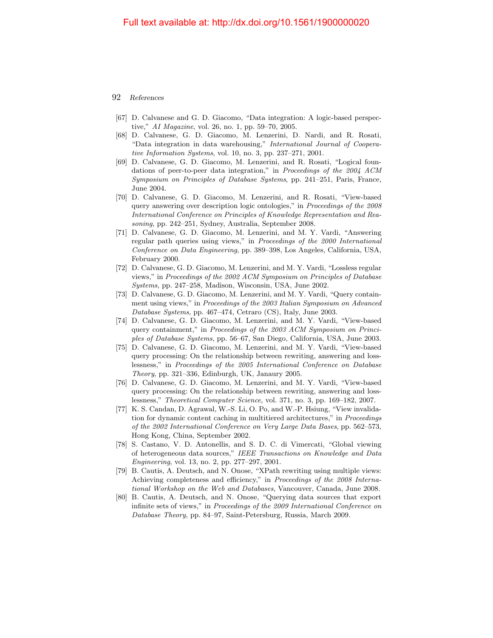- [67] D. Calvanese and G. D. Giacomo, "Data integration: A logic-based perspective," AI Magazine, vol. 26, no. 1, pp. 59–70, 2005.
- [68] D. Calvanese, G. D. Giacomo, M. Lenzerini, D. Nardi, and R. Rosati, "Data integration in data warehousing," International Journal of Cooperative Information Systems, vol. 10, no. 3, pp. 237–271, 2001.
- [69] D. Calvanese, G. D. Giacomo, M. Lenzerini, and R. Rosati, "Logical foundations of peer-to-peer data integration," in Proceedings of the 2004 ACM Symposium on Principles of Database Systems, pp. 241–251, Paris, France, June 2004.
- [70] D. Calvanese, G. D. Giacomo, M. Lenzerini, and R. Rosati, "View-based query answering over description logic ontologies," in Proceedings of the 2008 International Conference on Principles of Knowledge Representation and Reasoning, pp. 242–251, Sydney, Australia, September 2008.
- [71] D. Calvanese, G. D. Giacomo, M. Lenzerini, and M. Y. Vardi, "Answering regular path queries using views," in Proceedings of the 2000 International Conference on Data Engineering, pp. 389–398, Los Angeles, California, USA, February 2000.
- [72] D. Calvanese, G. D. Giacomo, M. Lenzerini, and M. Y. Vardi, "Lossless regular views," in Proceedings of the 2002 ACM Symposium on Principles of Database Systems, pp. 247–258, Madison, Wisconsin, USA, June 2002.
- [73] D. Calvanese, G. D. Giacomo, M. Lenzerini, and M. Y. Vardi, "Query containment using views," in Proceedings of the 2003 Italian Symposium on Advanced Database Systems, pp. 467–474, Cetraro (CS), Italy, June 2003.
- [74] D. Calvanese, G. D. Giacomo, M. Lenzerini, and M. Y. Vardi, "View-based query containment," in Proceedings of the 2003 ACM Symposium on Principles of Database Systems, pp. 56–67, San Diego, California, USA, June 2003.
- [75] D. Calvanese, G. D. Giacomo, M. Lenzerini, and M. Y. Vardi, "View-based query processing: On the relationship between rewriting, answering and losslessness," in Proceedings of the 2005 International Conference on Database Theory, pp. 321–336, Edinburgh, UK, Janaury 2005.
- [76] D. Calvanese, G. D. Giacomo, M. Lenzerini, and M. Y. Vardi, "View-based query processing: On the relationship between rewriting, answering and losslessness," Theoretical Computer Science, vol. 371, no. 3, pp. 169–182, 2007.
- [77] K. S. Candan, D. Agrawal, W.-S. Li, O. Po, and W.-P. Hsiung, "View invalidation for dynamic content caching in multitiered architectures," in Proceedings of the 2002 International Conference on Very Large Data Bases, pp. 562–573, Hong Kong, China, September 2002.
- [78] S. Castano, V. D. Antonellis, and S. D. C. di Vimercati, "Global viewing of heterogeneous data sources," IEEE Transactions on Knowledge and Data Engineering, vol. 13, no. 2, pp. 277–297, 2001.
- [79] B. Cautis, A. Deutsch, and N. Onose, "XPath rewriting using multiple views: Achieving completeness and efficiency," in Proceedings of the 2008 International Workshop on the Web and Databases, Vancouver, Canada, June 2008.
- [80] B. Cautis, A. Deutsch, and N. Onose, "Querying data sources that export infinite sets of views," in Proceedings of the 2009 International Conference on Database Theory, pp. 84–97, Saint-Petersburg, Russia, March 2009.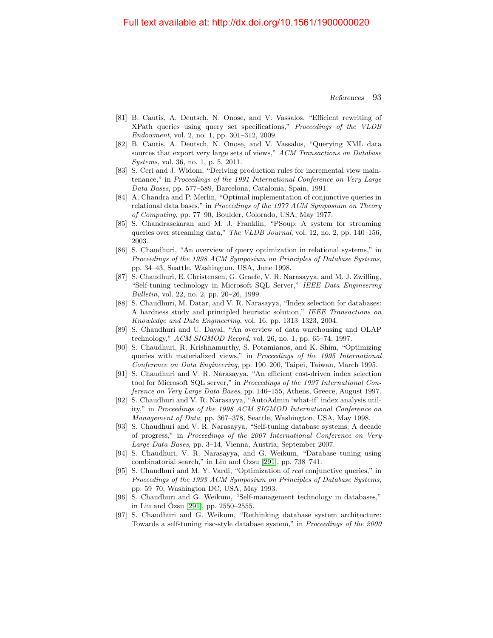- [81] B. Cautis, A. Deutsch, N. Onose, and V. Vassalos, "Efficient rewriting of XPath queries using query set specifications," Proceedings of the VLDB Endowment, vol. 2, no. 1, pp. 301–312, 2009.
- [82] B. Cautis, A. Deutsch, N. Onose, and V. Vassalos, "Querying XML data sources that export very large sets of views," ACM Transactions on Database Systems, vol. 36, no. 1, p. 5, 2011.
- [83] S. Ceri and J. Widom, "Deriving production rules for incremental view maintenance," in Proceedings of the 1991 International Conference on Very Large Data Bases, pp. 577–589, Barcelona, Catalonia, Spain, 1991.
- [84] A. Chandra and P. Merlin, "Optimal implementation of conjunctive queries in relational data bases," in Proceedings of the 1977 ACM Symposium on Theory of Computing, pp. 77–90, Boulder, Colorado, USA, May 1977.
- [85] S. Chandrasekaran and M. J. Franklin, "PSoup: A system for streaming queries over streaming data," The VLDB Journal, vol. 12, no. 2, pp. 140–156, 2003.
- [86] S. Chaudhuri, "An overview of query optimization in relational systems," in Proceedings of the 1998 ACM Symposium on Principles of Database Systems, pp. 34–43, Seattle, Washington, USA, June 1998.
- [87] S. Chaudhuri, E. Christensen, G. Graefe, V. R. Narasayya, and M. J. Zwilling, "Self-tuning technology in Microsoft SQL Server," IEEE Data Engineering Bulletin, vol. 22, no. 2, pp. 20–26, 1999.
- [88] S. Chaudhuri, M. Datar, and V. R. Narasayya, "Index selection for databases: A hardness study and principled heuristic solution," IEEE Transactions on Knowledge and Data Engineering, vol. 16, pp. 1313–1323, 2004.
- <span id="page-20-0"></span>[89] S. Chaudhuri and U. Dayal, "An overview of data warehousing and OLAP technology," ACM SIGMOD Record, vol. 26, no. 1, pp. 65–74, 1997.
- [90] S. Chaudhuri, R. Krishnamurthy, S. Potamianos, and K. Shim, "Optimizing queries with materialized views," in Proceedings of the 1995 International Conference on Data Engineering, pp. 190–200, Taipei, Taiwan, March 1995.
- [91] S. Chaudhuri and V. R. Narasayya, "An efficient cost-driven index selection tool for Microsoft SQL server," in Proceedings of the 1997 International Conference on Very Large Data Bases, pp. 146–155, Athens, Greece, August 1997.
- [92] S. Chaudhuri and V. R. Narasayya, "AutoAdmin 'what-if' index analysis utility," in Proceedings of the 1998 ACM SIGMOD International Conference on Management of Data, pp. 367–378, Seattle, Washington, USA, May 1998.
- [93] S. Chaudhuri and V. R. Narasayya, "Self-tuning database systems: A decade of progress," in Proceedings of the 2007 International Conference on Very Large Data Bases, pp. 3–14, Vienna, Austria, September 2007.
- [94] S. Chaudhuri, V. R. Narasayya, and G. Weikum, "Database tuning using combinatorial search," in Liu and Özsu  $[291]$ , pp. 738–741.
- [95] S. Chaudhuri and M. Y. Vardi, "Optimization of real conjunctive queries," in Proceedings of the 1993 ACM Symposium on Principles of Database Systems, pp. 59–70, Washington DC, USA, May 1993.
- [96] S. Chaudhuri and G. Weikum, "Self-management technology in databases," in Liu and Ozsu  $[291]$ , pp. 2550–2555.
- [97] S. Chaudhuri and G. Weikum, "Rethinking database system architecture: Towards a self-tuning risc-style database system," in Proceedings of the 2000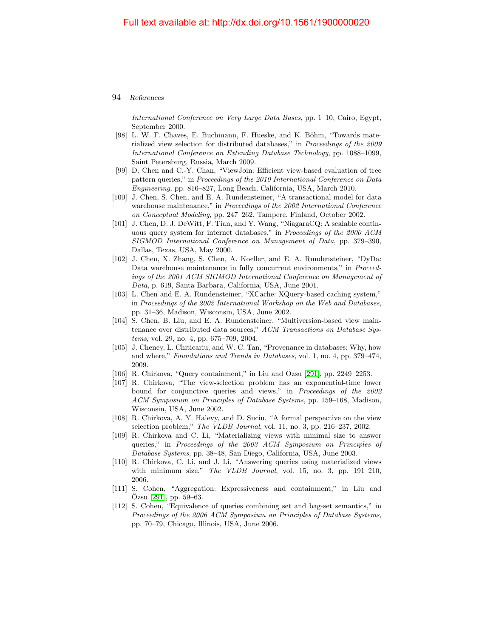International Conference on Very Large Data Bases, pp. 1–10, Cairo, Egypt, September 2000.

- [98] L. W. F. Chaves, E. Buchmann, F. Hueske, and K. Böhm, "Towards materialized view selection for distributed databases," in Proceedings of the 2009 International Conference on Extending Database Technology, pp. 1088–1099, Saint Petersburg, Russia, March 2009.
- [99] D. Chen and C.-Y. Chan, "ViewJoin: Efficient view-based evaluation of tree pattern queries," in Proceedings of the 2010 International Conference on Data Engineering, pp. 816–827, Long Beach, California, USA, March 2010.
- [100] J. Chen, S. Chen, and E. A. Rundensteiner, "A transactional model for data warehouse maintenance," in Proceedings of the 2002 International Conference on Conceptual Modeling, pp. 247–262, Tampere, Finland, October 2002.
- [101] J. Chen, D. J. DeWitt, F. Tian, and Y. Wang, "NiagaraCQ: A scalable continuous query system for internet databases," in Proceedings of the 2000 ACM SIGMOD International Conference on Management of Data, pp. 379–390, Dallas, Texas, USA, May 2000.
- [102] J. Chen, X. Zhang, S. Chen, A. Koeller, and E. A. Rundensteiner, "DyDa: Data warehouse maintenance in fully concurrent environments," in Proceedings of the 2001 ACM SIGMOD International Conference on Management of Data, p. 619, Santa Barbara, California, USA, June 2001.
- [103] L. Chen and E. A. Rundensteiner, "XCache: XQuery-based caching system," in Proceedings of the 2002 International Workshop on the Web and Databases, pp. 31–36, Madison, Wisconsin, USA, June 2002.
- [104] S. Chen, B. Liu, and E. A. Rundensteiner, "Multiversion-based view maintenance over distributed data sources," ACM Transactions on Database Systems, vol. 29, no. 4, pp. 675–709, 2004.
- [105] J. Cheney, L. Chiticariu, and W. C. Tan, "Provenance in databases: Why, how and where," Foundations and Trends in Databases, vol. 1, no. 4, pp. 379–474, 2009.
- [106] R. Chirkova, "Query containment," in Liu and Ozsu [\[291\]](#page-34-0), pp.  $2249-2253$ .
- [107] R. Chirkova, "The view-selection problem has an exponential-time lower bound for conjunctive queries and views," in Proceedings of the 2002 ACM Symposium on Principles of Database Systems, pp. 159–168, Madison, Wisconsin, USA, June 2002.
- [108] R. Chirkova, A. Y. Halevy, and D. Suciu, "A formal perspective on the view selection problem," The VLDB Journal, vol. 11, no. 3, pp. 216–237, 2002.
- [109] R. Chirkova and C. Li, "Materializing views with minimal size to answer queries," in Proceedings of the 2003 ACM Symposium on Principles of Database Systems, pp. 38–48, San Diego, California, USA, June 2003.
- [110] R. Chirkova, C. Li, and J. Li, "Answering queries using materialized views with minimum size," The VLDB Journal, vol. 15, no. 3, pp. 191-210, 2006.
- [111] S. Cohen, "Aggregation: Expressiveness and containment," in Liu and  $\text{Ozsu}$  [\[291\]](#page-34-0), pp. 59–63.
- [112] S. Cohen, "Equivalence of queries combining set and bag-set semantics," in Proceedings of the 2006 ACM Symposium on Principles of Database Systems, pp. 70–79, Chicago, Illinois, USA, June 2006.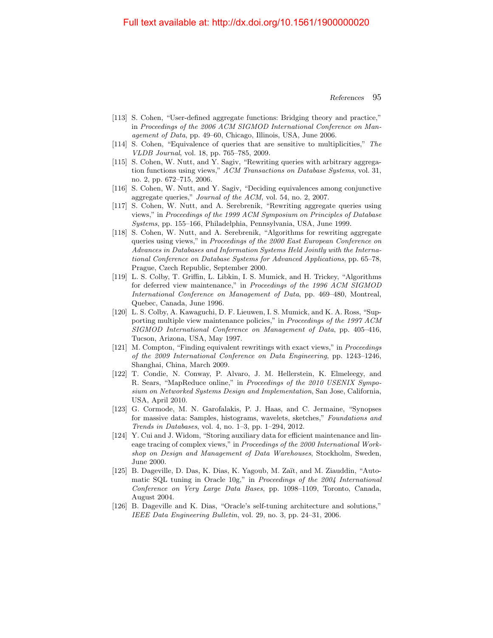- [113] S. Cohen, "User-defined aggregate functions: Bridging theory and practice," in Proceedings of the 2006 ACM SIGMOD International Conference on Management of Data, pp. 49–60, Chicago, Illinois, USA, June 2006.
- [114] S. Cohen, "Equivalence of queries that are sensitive to multiplicities," The VLDB Journal, vol. 18, pp. 765–785, 2009.
- [115] S. Cohen, W. Nutt, and Y. Sagiv, "Rewriting queries with arbitrary aggregation functions using views," ACM Transactions on Database Systems, vol. 31, no. 2, pp. 672–715, 2006.
- [116] S. Cohen, W. Nutt, and Y. Sagiv, "Deciding equivalences among conjunctive aggregate queries," Journal of the ACM, vol. 54, no. 2, 2007.
- [117] S. Cohen, W. Nutt, and A. Serebrenik, "Rewriting aggregate queries using views," in Proceedings of the 1999 ACM Symposium on Principles of Database Systems, pp. 155–166, Philadelphia, Pennsylvania, USA, June 1999.
- [118] S. Cohen, W. Nutt, and A. Serebrenik, "Algorithms for rewriting aggregate queries using views," in Proceedings of the 2000 East European Conference on Advances in Databases and Information Systems Held Jointly with the International Conference on Database Systems for Advanced Applications, pp. 65–78, Prague, Czech Republic, September 2000.
- [119] L. S. Colby, T. Griffin, L. Libkin, I. S. Mumick, and H. Trickey, "Algorithms for deferred view maintenance," in Proceedings of the 1996 ACM SIGMOD International Conference on Management of Data, pp. 469–480, Montreal, Quebec, Canada, June 1996.
- [120] L. S. Colby, A. Kawaguchi, D. F. Lieuwen, I. S. Mumick, and K. A. Ross, "Supporting multiple view maintenance policies," in Proceedings of the 1997 ACM SIGMOD International Conference on Management of Data, pp. 405–416, Tucson, Arizona, USA, May 1997.
- [121] M. Compton, "Finding equivalent rewritings with exact views," in Proceedings of the 2009 International Conference on Data Engineering, pp. 1243–1246, Shanghai, China, March 2009.
- [122] T. Condie, N. Conway, P. Alvaro, J. M. Hellerstein, K. Elmeleegy, and R. Sears, "MapReduce online," in Proceedings of the 2010 USENIX Symposium on Networked Systems Design and Implementation, San Jose, California, USA, April 2010.
- <span id="page-22-0"></span>[123] G. Cormode, M. N. Garofalakis, P. J. Haas, and C. Jermaine, "Synopses for massive data: Samples, histograms, wavelets, sketches," Foundations and Trends in Databases, vol. 4, no. 1–3, pp. 1–294, 2012.
- [124] Y. Cui and J. Widom, "Storing auxiliary data for efficient maintenance and lineage tracing of complex views," in Proceedings of the 2000 International Workshop on Design and Management of Data Warehouses, Stockholm, Sweden, June 2000.
- [125] B. Dageville, D. Das, K. Dias, K. Yagoub, M. Zaït, and M. Ziauddin, "Automatic SQL tuning in Oracle 10g," in Proceedings of the 2004 International Conference on Very Large Data Bases, pp. 1098–1109, Toronto, Canada, August 2004.
- [126] B. Dageville and K. Dias, "Oracle's self-tuning architecture and solutions," IEEE Data Engineering Bulletin, vol. 29, no. 3, pp. 24–31, 2006.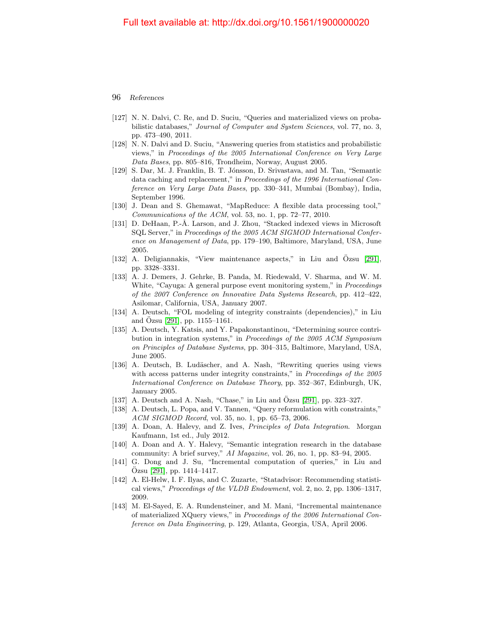- [127] N. N. Dalvi, C. Re, and D. Suciu, "Queries and materialized views on probabilistic databases," Journal of Computer and System Sciences, vol. 77, no. 3, pp. 473–490, 2011.
- [128] N. N. Dalvi and D. Suciu, "Answering queries from statistics and probabilistic views," in Proceedings of the 2005 International Conference on Very Large Data Bases, pp. 805–816, Trondheim, Norway, August 2005.
- [129] S. Dar, M. J. Franklin, B. T. Jónsson, D. Srivastava, and M. Tan, "Semantic data caching and replacement," in Proceedings of the 1996 International Conference on Very Large Data Bases, pp. 330–341, Mumbai (Bombay), India, September 1996.
- [130] J. Dean and S. Ghemawat, "MapReduce: A flexible data processing tool," Communications of the ACM, vol. 53, no. 1, pp. 72–77, 2010.
- [131] D. DeHaan, P.-Å. Larson, and J. Zhou, "Stacked indexed views in Microsoft SQL Server," in Proceedings of the 2005 ACM SIGMOD International Conference on Management of Data, pp. 179–190, Baltimore, Maryland, USA, June 2005.
- [132] A. Deligiannakis, "View maintenance aspects," in Liu and Ozsu [\[291\]](#page-34-0), pp. 3328–3331.
- [133] A. J. Demers, J. Gehrke, B. Panda, M. Riedewald, V. Sharma, and W. M. White, "Cayuga: A general purpose event monitoring system," in *Proceedings* of the 2007 Conference on Innovative Data Systems Research, pp. 412–422, Asilomar, California, USA, January 2007.
- [134] A. Deutsch, "FOL modeling of integrity constraints (dependencies)," in Liu and  $\ddot{O}$ zsu [\[291\]](#page-34-0), pp. 1155–1161.
- [135] A. Deutsch, Y. Katsis, and Y. Papakonstantinou, "Determining source contribution in integration systems," in Proceedings of the 2005 ACM Symposium on Principles of Database Systems, pp. 304–315, Baltimore, Maryland, USA, June 2005.
- [136] A. Deutsch, B. Ludäscher, and A. Nash, "Rewriting queries using views with access patterns under integrity constraints," in Proceedings of the 2005 International Conference on Database Theory, pp. 352–367, Edinburgh, UK, January 2005.
- [137] A. Deutsch and A. Nash, "Chase," in Liu and Özsu [\[291\]](#page-34-0), pp. 323–327.
- [138] A. Deutsch, L. Popa, and V. Tannen, "Query reformulation with constraints," ACM SIGMOD Record, vol. 35, no. 1, pp. 65–73, 2006.
- <span id="page-23-0"></span>[139] A. Doan, A. Halevy, and Z. Ives, Principles of Data Integration. Morgan Kaufmann, 1st ed., July 2012.
- [140] A. Doan and A. Y. Halevy, "Semantic integration research in the database community: A brief survey," AI Magazine, vol. 26, no. 1, pp. 83–94, 2005.
- [141] G. Dong and J. Su, "Incremental computation of queries," in Liu and Ozsu  $[291]$ , pp. 1414–1417.
- [142] A. El-Helw, I. F. Ilyas, and C. Zuzarte, "Statadvisor: Recommending statistical views," Proceedings of the VLDB Endowment, vol. 2, no. 2, pp. 1306–1317, 2009.
- [143] M. El-Sayed, E. A. Rundensteiner, and M. Mani, "Incremental maintenance of materialized XQuery views," in Proceedings of the 2006 International Conference on Data Engineering, p. 129, Atlanta, Georgia, USA, April 2006.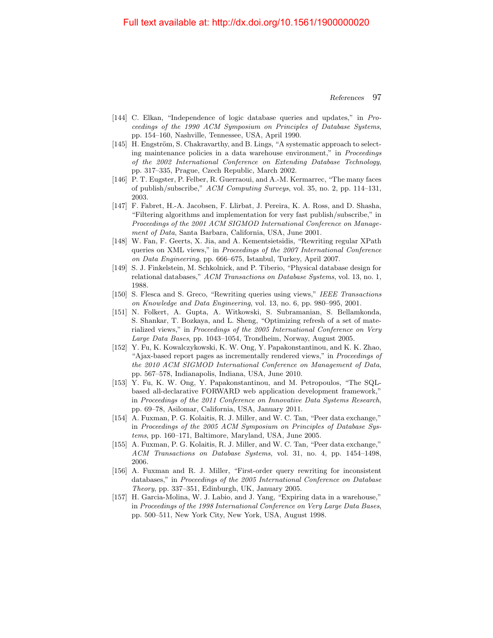- [144] C. Elkan, "Independence of logic database queries and updates," in Proceedings of the 1990 ACM Symposium on Principles of Database Systems, pp. 154–160, Nashville, Tennessee, USA, April 1990.
- [145] H. Engström, S. Chakravarthy, and B. Lings, "A systematic approach to selecting maintenance policies in a data warehouse environment," in Proceedings of the 2002 International Conference on Extending Database Technology, pp. 317–335, Prague, Czech Republic, March 2002.
- [146] P. T. Eugster, P. Felber, R. Guerraoui, and A.-M. Kermarrec, "The many faces of publish/subscribe," ACM Computing Surveys, vol. 35, no. 2, pp. 114–131, 2003.
- [147] F. Fabret, H.-A. Jacobsen, F. Llirbat, J. Pereira, K. A. Ross, and D. Shasha, "Filtering algorithms and implementation for very fast publish/subscribe," in Proceedings of the 2001 ACM SIGMOD International Conference on Management of Data, Santa Barbara, California, USA, June 2001.
- [148] W. Fan, F. Geerts, X. Jia, and A. Kementsietsidis, "Rewriting regular XPath queries on XML views," in Proceedings of the 2007 International Conference on Data Engineering, pp. 666–675, Istanbul, Turkey, April 2007.
- [149] S. J. Finkelstein, M. Schkolnick, and P. Tiberio, "Physical database design for relational databases," ACM Transactions on Database Systems, vol. 13, no. 1, 1988.
- [150] S. Flesca and S. Greco, "Rewriting queries using views," IEEE Transactions on Knowledge and Data Engineering, vol. 13, no. 6, pp. 980–995, 2001.
- [151] N. Folkert, A. Gupta, A. Witkowski, S. Subramanian, S. Bellamkonda, S. Shankar, T. Bozkaya, and L. Sheng, "Optimizing refresh of a set of materialized views," in Proceedings of the 2005 International Conference on Very Large Data Bases, pp. 1043–1054, Trondheim, Norway, August 2005.
- [152] Y. Fu, K. Kowalczykowski, K. W. Ong, Y. Papakonstantinou, and K. K. Zhao, "Ajax-based report pages as incrementally rendered views," in Proceedings of the 2010 ACM SIGMOD International Conference on Management of Data, pp. 567–578, Indianapolis, Indiana, USA, June 2010.
- [153] Y. Fu, K. W. Ong, Y. Papakonstantinou, and M. Petropoulos, "The SQLbased all-declarative FORWARD web application development framework," in Proceedings of the 2011 Conference on Innovative Data Systems Research, pp. 69–78, Asilomar, California, USA, January 2011.
- [154] A. Fuxman, P. G. Kolaitis, R. J. Miller, and W. C. Tan, "Peer data exchange," in Proceedings of the 2005 ACM Symposium on Principles of Database Systems, pp. 160–171, Baltimore, Maryland, USA, June 2005.
- [155] A. Fuxman, P. G. Kolaitis, R. J. Miller, and W. C. Tan, "Peer data exchange," ACM Transactions on Database Systems, vol. 31, no. 4, pp. 1454–1498, 2006.
- [156] A. Fuxman and R. J. Miller, "First-order query rewriting for inconsistent databases," in Proceedings of the 2005 International Conference on Database Theory, pp. 337–351, Edinburgh, UK, January 2005.
- [157] H. Garcia-Molina, W. J. Labio, and J. Yang, "Expiring data in a warehouse," in Proceedings of the 1998 International Conference on Very Large Data Bases, pp. 500–511, New York City, New York, USA, August 1998.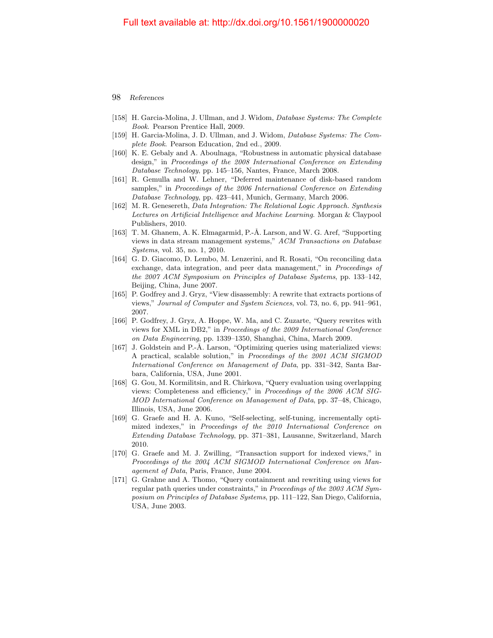- [158] H. Garcia-Molina, J. Ullman, and J. Widom, Database Systems: The Complete Book. Pearson Prentice Hall, 2009.
- <span id="page-25-0"></span>[159] H. Garcia-Molina, J. D. Ullman, and J. Widom, Database Systems: The Complete Book. Pearson Education, 2nd ed., 2009.
- [160] K. E. Gebaly and A. Aboulnaga, "Robustness in automatic physical database design," in Proceedings of the 2008 International Conference on Extending Database Technology, pp. 145–156, Nantes, France, March 2008.
- [161] R. Gemulla and W. Lehner, "Deferred maintenance of disk-based random samples," in Proceedings of the 2006 International Conference on Extending Database Technology, pp. 423–441, Munich, Germany, March 2006.
- [162] M. R. Genesereth, Data Integration: The Relational Logic Approach. Synthesis Lectures on Artificial Intelligence and Machine Learning. Morgan & Claypool Publishers, 2010.
- [163] T. M. Ghanem, A. K. Elmagarmid, P.-Å. Larson, and W. G. Aref, "Supporting" views in data stream management systems," ACM Transactions on Database Systems, vol. 35, no. 1, 2010.
- [164] G. D. Giacomo, D. Lembo, M. Lenzerini, and R. Rosati, "On reconciling data exchange, data integration, and peer data management," in Proceedings of the 2007 ACM Symposium on Principles of Database Systems, pp. 133–142, Beijing, China, June 2007.
- [165] P. Godfrey and J. Gryz, "View disassembly: A rewrite that extracts portions of views," Journal of Computer and System Sciences, vol. 73, no. 6, pp. 941–961, 2007.
- [166] P. Godfrey, J. Gryz, A. Hoppe, W. Ma, and C. Zuzarte, "Query rewrites with views for XML in DB2," in Proceedings of the 2009 International Conference on Data Engineering, pp. 1339–1350, Shanghai, China, March 2009.
- [167] J. Goldstein and P.-Å. Larson, "Optimizing queries using materialized views: A practical, scalable solution," in Proceedings of the 2001 ACM SIGMOD International Conference on Management of Data, pp. 331–342, Santa Barbara, California, USA, June 2001.
- [168] G. Gou, M. Kormilitsin, and R. Chirkova, "Query evaluation using overlapping views: Completeness and efficiency," in Proceedings of the 2006 ACM SIG-MOD International Conference on Management of Data, pp. 37–48, Chicago, Illinois, USA, June 2006.
- [169] G. Graefe and H. A. Kuno, "Self-selecting, self-tuning, incrementally optimized indexes," in Proceedings of the 2010 International Conference on Extending Database Technology, pp. 371–381, Lausanne, Switzerland, March 2010.
- [170] G. Graefe and M. J. Zwilling, "Transaction support for indexed views," in Proceedings of the 2004 ACM SIGMOD International Conference on Management of Data, Paris, France, June 2004.
- [171] G. Grahne and A. Thomo, "Query containment and rewriting using views for regular path queries under constraints," in Proceedings of the 2003 ACM Symposium on Principles of Database Systems, pp. 111–122, San Diego, California, USA, June 2003.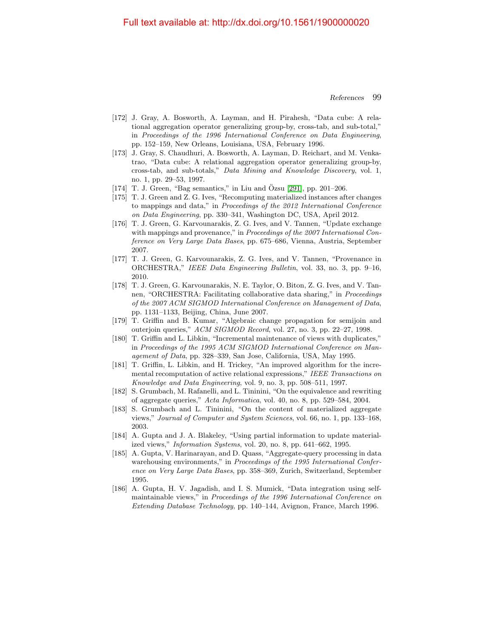- [172] J. Gray, A. Bosworth, A. Layman, and H. Pirahesh, "Data cube: A relational aggregation operator generalizing group-by, cross-tab, and sub-total," in Proceedings of the 1996 International Conference on Data Engineering, pp. 152–159, New Orleans, Louisiana, USA, February 1996.
- [173] J. Gray, S. Chaudhuri, A. Bosworth, A. Layman, D. Reichart, and M. Venkatrao, "Data cube: A relational aggregation operator generalizing group-by, cross-tab, and sub-totals," Data Mining and Knowledge Discovery, vol. 1, no. 1, pp. 29–53, 1997.
- <span id="page-26-0"></span>[174] T. J. Green, "Bag semantics," in Liu and Ozsu [\[291\]](#page-34-0), pp. 201–206.
- [175] T. J. Green and Z. G. Ives, "Recomputing materialized instances after changes to mappings and data," in Proceedings of the 2012 International Conference on Data Engineering, pp. 330–341, Washington DC, USA, April 2012.
- [176] T. J. Green, G. Karvounarakis, Z. G. Ives, and V. Tannen, "Update exchange with mappings and provenance," in Proceedings of the 2007 International Conference on Very Large Data Bases, pp. 675–686, Vienna, Austria, September 2007.
- [177] T. J. Green, G. Karvounarakis, Z. G. Ives, and V. Tannen, "Provenance in ORCHESTRA," IEEE Data Engineering Bulletin, vol. 33, no. 3, pp. 9–16, 2010.
- [178] T. J. Green, G. Karvounarakis, N. E. Taylor, O. Biton, Z. G. Ives, and V. Tannen, "ORCHESTRA: Facilitating collaborative data sharing," in Proceedings of the 2007 ACM SIGMOD International Conference on Management of Data, pp. 1131–1133, Beijing, China, June 2007.
- [179] T. Griffin and B. Kumar, "Algebraic change propagation for semijoin and outerjoin queries," ACM SIGMOD Record, vol. 27, no. 3, pp. 22–27, 1998.
- [180] T. Griffin and L. Libkin, "Incremental maintenance of views with duplicates," in Proceedings of the 1995 ACM SIGMOD International Conference on Management of Data, pp. 328–339, San Jose, California, USA, May 1995.
- [181] T. Griffin, L. Libkin, and H. Trickey, "An improved algorithm for the incremental recomputation of active relational expressions," IEEE Transactions on Knowledge and Data Engineering, vol. 9, no. 3, pp. 508–511, 1997.
- [182] S. Grumbach, M. Rafanelli, and L. Tininini, "On the equivalence and rewriting of aggregate queries," Acta Informatica, vol. 40, no. 8, pp. 529–584, 2004.
- [183] S. Grumbach and L. Tininini, "On the content of materialized aggregate views," Journal of Computer and System Sciences, vol. 66, no. 1, pp. 133–168, 2003.
- [184] A. Gupta and J. A. Blakeley, "Using partial information to update materialized views," Information Systems, vol. 20, no. 8, pp. 641–662, 1995.
- [185] A. Gupta, V. Harinarayan, and D. Quass, "Aggregate-query processing in data warehousing environments," in Proceedings of the 1995 International Conference on Very Large Data Bases, pp. 358–369, Zurich, Switzerland, September 1995.
- [186] A. Gupta, H. V. Jagadish, and I. S. Mumick, "Data integration using selfmaintainable views," in Proceedings of the 1996 International Conference on Extending Database Technology, pp. 140–144, Avignon, France, March 1996.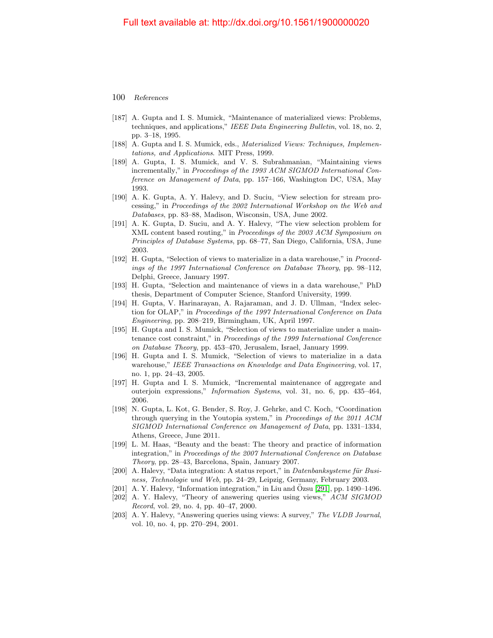- [187] A. Gupta and I. S. Mumick, "Maintenance of materialized views: Problems, techniques, and applications," IEEE Data Engineering Bulletin, vol. 18, no. 2, pp. 3–18, 1995.
- <span id="page-27-0"></span>[188] A. Gupta and I. S. Mumick, eds., *Materialized Views: Techniques, Implemen*tations, and Applications. MIT Press, 1999.
- [189] A. Gupta, I. S. Mumick, and V. S. Subrahmanian, "Maintaining views incrementally," in Proceedings of the 1993 ACM SIGMOD International Conference on Management of Data, pp. 157–166, Washington DC, USA, May 1993.
- [190] A. K. Gupta, A. Y. Halevy, and D. Suciu, "View selection for stream processing," in Proceedings of the 2002 International Workshop on the Web and Databases, pp. 83–88, Madison, Wisconsin, USA, June 2002.
- [191] A. K. Gupta, D. Suciu, and A. Y. Halevy, "The view selection problem for XML content based routing," in Proceedings of the 2003 ACM Symposium on Principles of Database Systems, pp. 68–77, San Diego, California, USA, June 2003.
- [192] H. Gupta, "Selection of views to materialize in a data warehouse," in Proceedings of the 1997 International Conference on Database Theory, pp. 98–112, Delphi, Greece, January 1997.
- [193] H. Gupta, "Selection and maintenance of views in a data warehouse," PhD thesis, Department of Computer Science, Stanford University, 1999.
- [194] H. Gupta, V. Harinarayan, A. Rajaraman, and J. D. Ullman, "Index selection for OLAP," in Proceedings of the 1997 International Conference on Data Engineering, pp. 208–219, Birmingham, UK, April 1997.
- [195] H. Gupta and I. S. Mumick, "Selection of views to materialize under a maintenance cost constraint," in Proceedings of the 1999 International Conference on Database Theory, pp. 453–470, Jerusalem, Israel, January 1999.
- [196] H. Gupta and I. S. Mumick, "Selection of views to materialize in a data warehouse," IEEE Transactions on Knowledge and Data Engineering, vol. 17, no. 1, pp. 24–43, 2005.
- [197] H. Gupta and I. S. Mumick, "Incremental maintenance of aggregate and outerjoin expressions," Information Systems, vol. 31, no. 6, pp. 435–464, 2006.
- [198] N. Gupta, L. Kot, G. Bender, S. Roy, J. Gehrke, and C. Koch, "Coordination through querying in the Youtopia system," in Proceedings of the 2011 ACM SIGMOD International Conference on Management of Data, pp. 1331–1334, Athens, Greece, June 2011.
- [199] L. M. Haas, "Beauty and the beast: The theory and practice of information integration," in Proceedings of the 2007 International Conference on Database Theory, pp. 28–43, Barcelona, Spain, January 2007.
- [200] A. Halevy, "Data integration: A status report," in Datenbanksysteme für Business, Technologie und Web, pp. 24–29, Leipzig, Germany, February 2003.
- [201] A. Y. Halevy, "Information integration," in Liu and Ozsu [\[291\]](#page-34-0), pp.  $1490-1496$ .
- [202] A. Y. Halevy, "Theory of answering queries using views," ACM SIGMOD Record, vol. 29, no. 4, pp. 40–47, 2000.
- <span id="page-27-1"></span>[203] A. Y. Halevy, "Answering queries using views: A survey," The VLDB Journal, vol. 10, no. 4, pp. 270–294, 2001.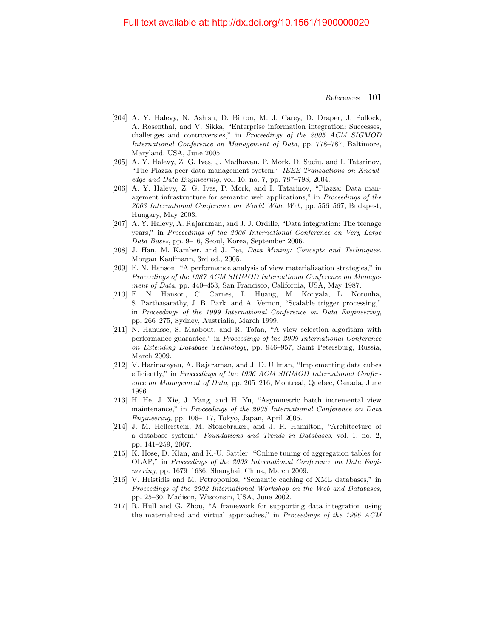- [204] A. Y. Halevy, N. Ashish, D. Bitton, M. J. Carey, D. Draper, J. Pollock, A. Rosenthal, and V. Sikka, "Enterprise information integration: Successes, challenges and controversies," in Proceedings of the 2005 ACM SIGMOD International Conference on Management of Data, pp. 778–787, Baltimore, Maryland, USA, June 2005.
- [205] A. Y. Halevy, Z. G. Ives, J. Madhavan, P. Mork, D. Suciu, and I. Tatarinov, "The Piazza peer data management system," IEEE Transactions on Knowledge and Data Engineering, vol. 16, no. 7, pp. 787–798, 2004.
- [206] A. Y. Halevy, Z. G. Ives, P. Mork, and I. Tatarinov, "Piazza: Data management infrastructure for semantic web applications," in Proceedings of the 2003 International Conference on World Wide Web, pp. 556–567, Budapest, Hungary, May 2003.
- [207] A. Y. Halevy, A. Rajaraman, and J. J. Ordille, "Data integration: The teenage years," in Proceedings of the 2006 International Conference on Very Large Data Bases, pp. 9–16, Seoul, Korea, September 2006.
- <span id="page-28-0"></span>[208] J. Han, M. Kamber, and J. Pei, Data Mining: Concepts and Techniques. Morgan Kaufmann, 3rd ed., 2005.
- [209] E. N. Hanson, "A performance analysis of view materialization strategies," in Proceedings of the 1987 ACM SIGMOD International Conference on Management of Data, pp. 440–453, San Francisco, California, USA, May 1987.
- [210] E. N. Hanson, C. Carnes, L. Huang, M. Konyala, L. Noronha, S. Parthasarathy, J. B. Park, and A. Vernon, "Scalable trigger processing," in Proceedings of the 1999 International Conference on Data Engineering, pp. 266–275, Sydney, Austrialia, March 1999.
- [211] N. Hanusse, S. Maabout, and R. Tofan, "A view selection algorithm with performance guarantee," in Proceedings of the 2009 International Conference on Extending Database Technology, pp. 946–957, Saint Petersburg, Russia, March 2009.
- [212] V. Harinarayan, A. Rajaraman, and J. D. Ullman, "Implementing data cubes efficiently," in Proceedings of the 1996 ACM SIGMOD International Conference on Management of Data, pp. 205–216, Montreal, Quebec, Canada, June 1996.
- [213] H. He, J. Xie, J. Yang, and H. Yu, "Asymmetric batch incremental view maintenance," in Proceedings of the 2005 International Conference on Data Engineering, pp. 106–117, Tokyo, Japan, April 2005.
- [214] J. M. Hellerstein, M. Stonebraker, and J. R. Hamilton, "Architecture of a database system," Foundations and Trends in Databases, vol. 1, no. 2, pp. 141–259, 2007.
- [215] K. Hose, D. Klan, and K.-U. Sattler, "Online tuning of aggregation tables for OLAP," in Proceedings of the 2009 International Conference on Data Engineering, pp. 1679–1686, Shanghai, China, March 2009.
- [216] V. Hristidis and M. Petropoulos, "Semantic caching of XML databases," in Proceedings of the 2002 International Workshop on the Web and Databases, pp. 25–30, Madison, Wisconsin, USA, June 2002.
- [217] R. Hull and G. Zhou, "A framework for supporting data integration using the materialized and virtual approaches," in Proceedings of the 1996 ACM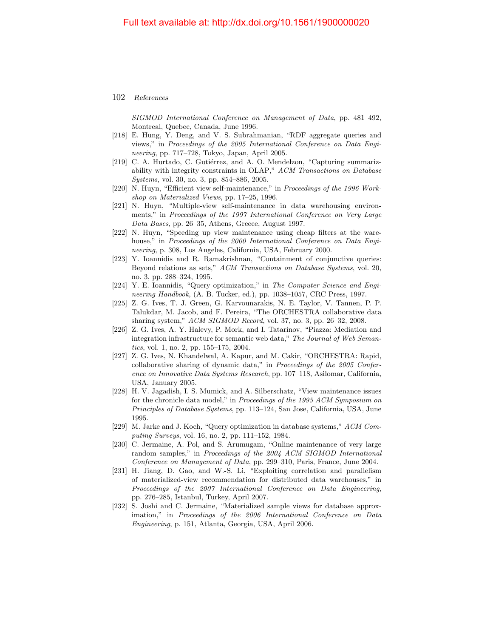SIGMOD International Conference on Management of Data, pp. 481–492, Montreal, Quebec, Canada, June 1996.

- [218] E. Hung, Y. Deng, and V. S. Subrahmanian, "RDF aggregate queries and views," in Proceedings of the 2005 International Conference on Data Engineering, pp. 717–728, Tokyo, Japan, April 2005.
- [219] C. A. Hurtado, C. Gutiérrez, and A. O. Mendelzon, "Capturing summarizability with integrity constraints in OLAP," ACM Transactions on Database Systems, vol. 30, no. 3, pp. 854–886, 2005.
- [220] N. Huyn, "Efficient view self-maintenance," in Proceedings of the 1996 Workshop on Materialized Views, pp. 17–25, 1996.
- [221] N. Huyn, "Multiple-view self-maintenance in data warehousing environments," in Proceedings of the 1997 International Conference on Very Large Data Bases, pp. 26–35, Athens, Greece, August 1997.
- [222] N. Huyn, "Speeding up view maintenance using cheap filters at the warehouse," in Proceedings of the 2000 International Conference on Data Engineering, p. 308, Los Angeles, California, USA, February 2000.
- [223] Y. Ioannidis and R. Ramakrishnan, "Containment of conjunctive queries: Beyond relations as sets," ACM Transactions on Database Systems, vol. 20, no. 3, pp. 288–324, 1995.
- [224] Y. E. Ioannidis, "Query optimization," in The Computer Science and Engineering Handbook, (A. B. Tucker, ed.), pp. 1038–1057, CRC Press, 1997.
- [225] Z. G. Ives, T. J. Green, G. Karvounarakis, N. E. Taylor, V. Tannen, P. P. Talukdar, M. Jacob, and F. Pereira, "The ORCHESTRA collaborative data sharing system," ACM SIGMOD Record, vol. 37, no. 3, pp. 26–32, 2008.
- [226] Z. G. Ives, A. Y. Halevy, P. Mork, and I. Tatarinov, "Piazza: Mediation and integration infrastructure for semantic web data," The Journal of Web Semantics, vol. 1, no. 2, pp. 155–175, 2004.
- [227] Z. G. Ives, N. Khandelwal, A. Kapur, and M. Cakir, "ORCHESTRA: Rapid, collaborative sharing of dynamic data," in Proceedings of the 2005 Conference on Innovative Data Systems Research, pp. 107–118, Asilomar, California, USA, January 2005.
- [228] H. V. Jagadish, I. S. Mumick, and A. Silberschatz, "View maintenance issues for the chronicle data model," in Proceedings of the 1995 ACM Symposium on Principles of Database Systems, pp. 113–124, San Jose, California, USA, June 1995.
- [229] M. Jarke and J. Koch, "Query optimization in database systems," ACM Computing Surveys, vol. 16, no. 2, pp. 111–152, 1984.
- [230] C. Jermaine, A. Pol, and S. Arumugam, "Online maintenance of very large random samples," in Proceedings of the 2004 ACM SIGMOD International Conference on Management of Data, pp. 299–310, Paris, France, June 2004.
- [231] H. Jiang, D. Gao, and W.-S. Li, "Exploiting correlation and parallelism of materialized-view recommendation for distributed data warehouses," in Proceedings of the 2007 International Conference on Data Engineering, pp. 276–285, Istanbul, Turkey, April 2007.
- [232] S. Joshi and C. Jermaine, "Materialized sample views for database approximation," in Proceedings of the 2006 International Conference on Data Engineering, p. 151, Atlanta, Georgia, USA, April 2006.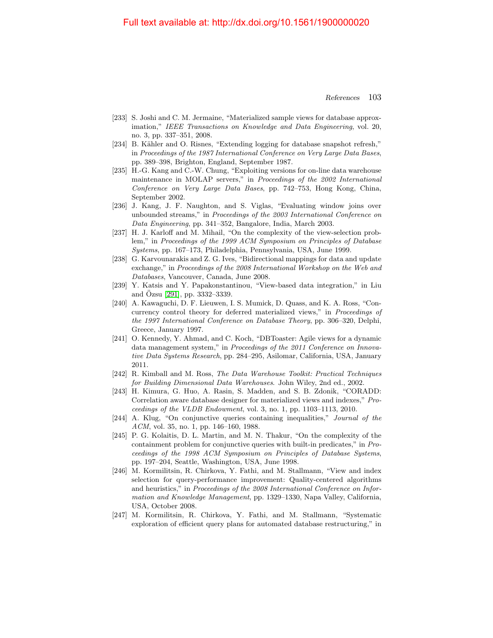- [233] S. Joshi and C. M. Jermaine, "Materialized sample views for database approximation," IEEE Transactions on Knowledge and Data Engineering, vol. 20, no. 3, pp. 337–351, 2008.
- [234] B. Kähler and O. Risnes, "Extending logging for database snapshot refresh," in Proceedings of the 1987 International Conference on Very Large Data Bases, pp. 389–398, Brighton, England, September 1987.
- [235] H.-G. Kang and C.-W. Chung, "Exploiting versions for on-line data warehouse maintenance in MOLAP servers," in Proceedings of the 2002 International Conference on Very Large Data Bases, pp. 742–753, Hong Kong, China, September 2002.
- [236] J. Kang, J. F. Naughton, and S. Viglas, "Evaluating window joins over unbounded streams," in Proceedings of the 2003 International Conference on Data Engineering, pp. 341–352, Bangalore, India, March 2003.
- [237] H. J. Karloff and M. Mihail, "On the complexity of the view-selection problem," in Proceedings of the 1999 ACM Symposium on Principles of Database Systems, pp. 167–173, Philadelphia, Pennsylvania, USA, June 1999.
- [238] G. Karvounarakis and Z. G. Ives, "Bidirectional mappings for data and update exchange," in Proceedings of the 2008 International Workshop on the Web and Databases, Vancouver, Canada, June 2008.
- [239] Y. Katsis and Y. Papakonstantinou, "View-based data integration," in Liu and  $\overline{\text{O}}$ zsu [\[291\]](#page-34-0), pp. 3332–3339.
- [240] A. Kawaguchi, D. F. Lieuwen, I. S. Mumick, D. Quass, and K. A. Ross, "Concurrency control theory for deferred materialized views," in Proceedings of the 1997 International Conference on Database Theory, pp. 306–320, Delphi, Greece, January 1997.
- [241] O. Kennedy, Y. Ahmad, and C. Koch, "DBToaster: Agile views for a dynamic data management system," in Proceedings of the 2011 Conference on Innovative Data Systems Research, pp. 284–295, Asilomar, California, USA, January 2011.
- <span id="page-30-0"></span>[242] R. Kimball and M. Ross, The Data Warehouse Toolkit: Practical Techniques for Building Dimensional Data Warehouses. John Wiley, 2nd ed., 2002.
- [243] H. Kimura, G. Huo, A. Rasin, S. Madden, and S. B. Zdonik, "CORADD: Correlation aware database designer for materialized views and indexes," Proceedings of the VLDB Endowment, vol. 3, no. 1, pp. 1103–1113, 2010.
- [244] A. Klug, "On conjunctive queries containing inequalities," Journal of the ACM, vol. 35, no. 1, pp. 146–160, 1988.
- [245] P. G. Kolaitis, D. L. Martin, and M. N. Thakur, "On the complexity of the containment problem for conjunctive queries with built-in predicates," in Proceedings of the 1998 ACM Symposium on Principles of Database Systems, pp. 197–204, Seattle, Washington, USA, June 1998.
- [246] M. Kormilitsin, R. Chirkova, Y. Fathi, and M. Stallmann, "View and index selection for query-performance improvement: Quality-centered algorithms and heuristics," in Proceedings of the 2008 International Conference on Information and Knowledge Management, pp. 1329–1330, Napa Valley, California, USA, October 2008.
- [247] M. Kormilitsin, R. Chirkova, Y. Fathi, and M. Stallmann, "Systematic exploration of efficient query plans for automated database restructuring," in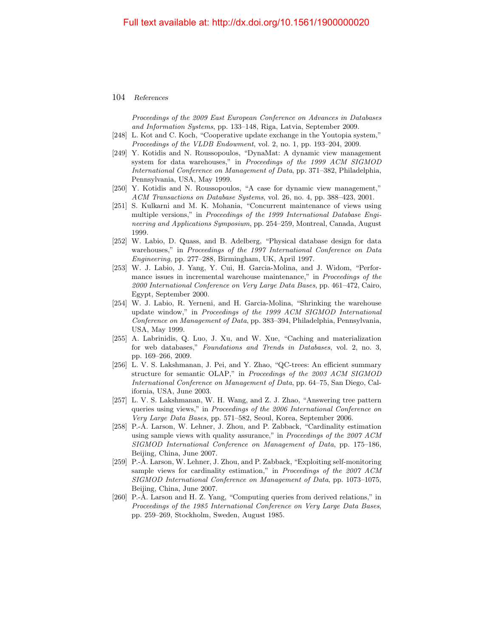Proceedings of the 2009 East European Conference on Advances in Databases and Information Systems, pp. 133–148, Riga, Latvia, September 2009.

- [248] L. Kot and C. Koch, "Cooperative update exchange in the Youtopia system," Proceedings of the VLDB Endowment, vol. 2, no. 1, pp. 193–204, 2009.
- [249] Y. Kotidis and N. Roussopoulos, "DynaMat: A dynamic view management system for data warehouses," in Proceedings of the 1999 ACM SIGMOD International Conference on Management of Data, pp. 371–382, Philadelphia, Pennsylvania, USA, May 1999.
- [250] Y. Kotidis and N. Roussopoulos, "A case for dynamic view management," ACM Transactions on Database Systems, vol. 26, no. 4, pp. 388–423, 2001.
- [251] S. Kulkarni and M. K. Mohania, "Concurrent maintenance of views using multiple versions," in Proceedings of the 1999 International Database Engineering and Applications Symposium, pp. 254–259, Montreal, Canada, August 1999.
- [252] W. Labio, D. Quass, and B. Adelberg, "Physical database design for data warehouses," in Proceedings of the 1997 International Conference on Data Engineering, pp. 277–288, Birmingham, UK, April 1997.
- [253] W. J. Labio, J. Yang, Y. Cui, H. Garcia-Molina, and J. Widom, "Performance issues in incremental warehouse maintenance," in *Proceedings of the* 2000 International Conference on Very Large Data Bases, pp. 461–472, Cairo, Egypt, September 2000.
- [254] W. J. Labio, R. Yerneni, and H. Garcia-Molina, "Shrinking the warehouse update window," in Proceedings of the 1999 ACM SIGMOD International Conference on Management of Data, pp. 383–394, Philadelphia, Pennsylvania, USA, May 1999.
- <span id="page-31-0"></span>[255] A. Labrinidis, Q. Luo, J. Xu, and W. Xue, "Caching and materialization for web databases," Foundations and Trends in Databases, vol. 2, no. 3, pp. 169–266, 2009.
- [256] L. V. S. Lakshmanan, J. Pei, and Y. Zhao, "QC-trees: An efficient summary structure for semantic OLAP," in Proceedings of the 2003 ACM SIGMOD International Conference on Management of Data, pp. 64–75, San Diego, California, USA, June 2003.
- [257] L. V. S. Lakshmanan, W. H. Wang, and Z. J. Zhao, "Answering tree pattern queries using views," in Proceedings of the 2006 International Conference on Very Large Data Bases, pp. 571–582, Seoul, Korea, September 2006.
- [258] P.-Å. Larson, W. Lehner, J. Zhou, and P. Zabback, "Cardinality estimation using sample views with quality assurance," in Proceedings of the 2007 ACM SIGMOD International Conference on Management of Data, pp. 175–186, Beijing, China, June 2007.
- [259] P.-Å. Larson, W. Lehner, J. Zhou, and P. Zabback, "Exploiting self-monitoring sample views for cardinality estimation," in Proceedings of the 2007 ACM SIGMOD International Conference on Management of Data, pp. 1073–1075, Beijing, China, June 2007.
- [260] P.-Å. Larson and H. Z. Yang, "Computing queries from derived relations," in Proceedings of the 1985 International Conference on Very Large Data Bases, pp. 259–269, Stockholm, Sweden, August 1985.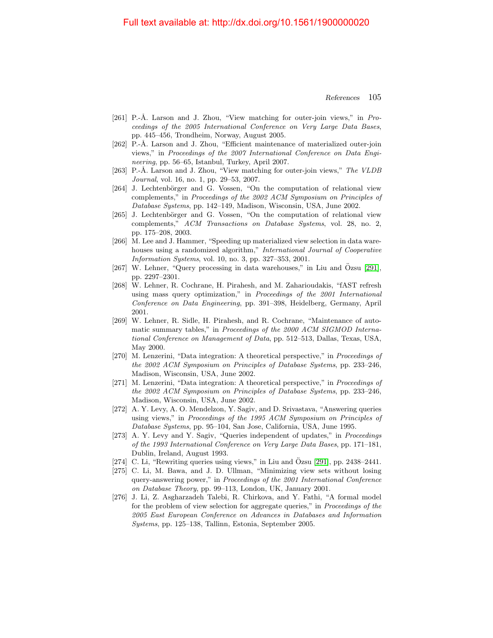- [261] P.-Å. Larson and J. Zhou, "View matching for outer-join views," in Proceedings of the 2005 International Conference on Very Large Data Bases, pp. 445–456, Trondheim, Norway, August 2005.
- [262] P.-Å. Larson and J. Zhou, "Efficient maintenance of materialized outer-join views," in Proceedings of the 2007 International Conference on Data Engineering, pp. 56–65, Istanbul, Turkey, April 2007.
- [263] P.-Å. Larson and J. Zhou, "View matching for outer-join views," The VLDB Journal, vol. 16, no. 1, pp. 29–53, 2007.
- [264] J. Lechtenbörger and G. Vossen, "On the computation of relational view complements," in Proceedings of the 2002 ACM Symposium on Principles of Database Systems, pp. 142–149, Madison, Wisconsin, USA, June 2002.
- [265] J. Lechtenbörger and G. Vossen, "On the computation of relational view complements," ACM Transactions on Database Systems, vol. 28, no. 2, pp. 175–208, 2003.
- [266] M. Lee and J. Hammer, "Speeding up materialized view selection in data warehouses using a randomized algorithm," International Journal of Cooperative Information Systems, vol. 10, no. 3, pp. 327–353, 2001.
- [267] W. Lehner, "Query processing in data warehouses," in Liu and  $\overline{O}$ zsu [\[291\]](#page-34-0), pp. 2297–2301.
- [268] W. Lehner, R. Cochrane, H. Pirahesh, and M. Zaharioudakis, "fAST refresh using mass query optimization," in Proceedings of the 2001 International Conference on Data Engineering, pp. 391–398, Heidelberg, Germany, April 2001.
- [269] W. Lehner, R. Sidle, H. Pirahesh, and R. Cochrane, "Maintenance of automatic summary tables," in Proceedings of the 2000 ACM SIGMOD International Conference on Management of Data, pp. 512–513, Dallas, Texas, USA, May 2000.
- <span id="page-32-0"></span>[270] M. Lenzerini, "Data integration: A theoretical perspective," in Proceedings of the 2002 ACM Symposium on Principles of Database Systems, pp. 233–246, Madison, Wisconsin, USA, June 2002.
- [271] M. Lenzerini, "Data integration: A theoretical perspective," in Proceedings of the 2002 ACM Symposium on Principles of Database Systems, pp. 233–246, Madison, Wisconsin, USA, June 2002.
- [272] A. Y. Levy, A. O. Mendelzon, Y. Sagiv, and D. Srivastava, "Answering queries using views," in Proceedings of the 1995 ACM Symposium on Principles of Database Systems, pp. 95–104, San Jose, California, USA, June 1995.
- [273] A. Y. Levy and Y. Sagiv, "Queries independent of updates," in Proceedings of the 1993 International Conference on Very Large Data Bases, pp. 171–181, Dublin, Ireland, August 1993.
- [274] C. Li, "Rewriting queries using views," in Liu and Özsu [\[291\]](#page-34-0), pp. 2438–2441.
- [275] C. Li, M. Bawa, and J. D. Ullman, "Minimizing view sets without losing query-answering power," in Proceedings of the 2001 International Conference on Database Theory, pp. 99–113, London, UK, January 2001.
- [276] J. Li, Z. Asgharzadeh Talebi, R. Chirkova, and Y. Fathi, "A formal model for the problem of view selection for aggregate queries," in Proceedings of the 2005 East European Conference on Advances in Databases and Information Systems, pp. 125–138, Tallinn, Estonia, September 2005.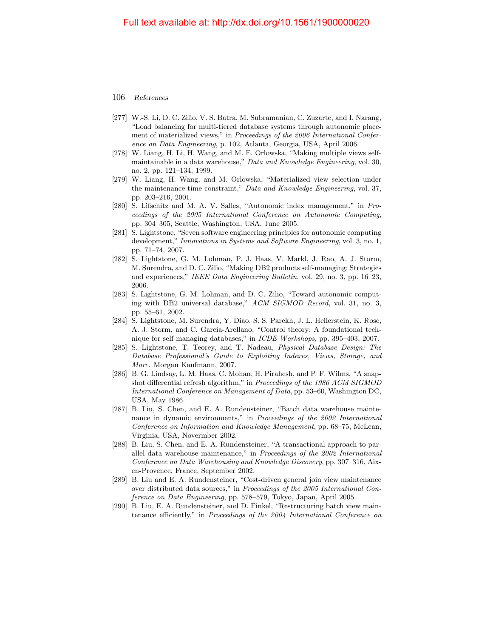- [277] W.-S. Li, D. C. Zilio, V. S. Batra, M. Subramanian, C. Zuzarte, and I. Narang, "Load balancing for multi-tiered database systems through autonomic placement of materialized views," in Proceedings of the 2006 International Conference on Data Engineering, p. 102, Atlanta, Georgia, USA, April 2006.
- [278] W. Liang, H. Li, H. Wang, and M. E. Orlowska, "Making multiple views selfmaintainable in a data warehouse," Data and Knowledge Engineering, vol. 30, no. 2, pp. 121–134, 1999.
- [279] W. Liang, H. Wang, and M. Orlowska, "Materialized view selection under the maintenance time constraint," Data and Knowledge Engineering, vol. 37, pp. 203–216, 2001.
- [280] S. Lifschitz and M. A. V. Salles, "Autonomic index management," in Proceedings of the 2005 International Conference on Autonomic Computing, pp. 304–305, Seattle, Washington, USA, June 2005.
- [281] S. Lightstone, "Seven software engineering principles for autonomic computing development," Innovations in Systems and Software Engineering, vol. 3, no. 1, pp. 71–74, 2007.
- [282] S. Lightstone, G. M. Lohman, P. J. Haas, V. Markl, J. Rao, A. J. Storm, M. Surendra, and D. C. Zilio, "Making DB2 products self-managing: Strategies and experiences," IEEE Data Engineering Bulletin, vol. 29, no. 3, pp. 16–23, 2006.
- [283] S. Lightstone, G. M. Lohman, and D. C. Zilio, "Toward autonomic computing with DB2 universal database," ACM SIGMOD Record, vol. 31, no. 3, pp. 55–61, 2002.
- [284] S. Lightstone, M. Surendra, Y. Diao, S. S. Parekh, J. L. Hellerstein, K. Rose, A. J. Storm, and C. Garcia-Arellano, "Control theory: A foundational technique for self managing databases," in ICDE Workshops, pp. 395–403, 2007.
- [285] S. Lightstone, T. Teorey, and T. Nadeau, Physical Database Design: The Database Professional's Guide to Exploiting Indexes, Views, Storage, and More. Morgan Kaufmann, 2007.
- [286] B. G. Lindsay, L. M. Haas, C. Mohan, H. Pirahesh, and P. F. Wilms, "A snapshot differential refresh algorithm," in Proceedings of the 1986 ACM SIGMOD International Conference on Management of Data, pp. 53–60, Washington DC, USA, May 1986.
- [287] B. Liu, S. Chen, and E. A. Rundensteiner, "Batch data warehouse maintenance in dynamic environments," in Proceedings of the 2002 International Conference on Information and Knowledge Management, pp. 68–75, McLean, Virginia, USA, Novermber 2002.
- [288] B. Liu, S. Chen, and E. A. Rundensteiner, "A transactional approach to parallel data warehouse maintenance," in Proceedings of the 2002 International Conference on Data Warehousing and Knowledge Discovery, pp. 307–316, Aixen-Provence, France, September 2002.
- [289] B. Liu and E. A. Rundensteiner, "Cost-driven general join view maintenance over distributed data sources," in Proceedings of the 2005 International Conference on Data Engineering, pp. 578–579, Tokyo, Japan, April 2005.
- [290] B. Liu, E. A. Rundensteiner, and D. Finkel, "Restructuring batch view maintenance efficiently," in Proceedings of the 2004 International Conference on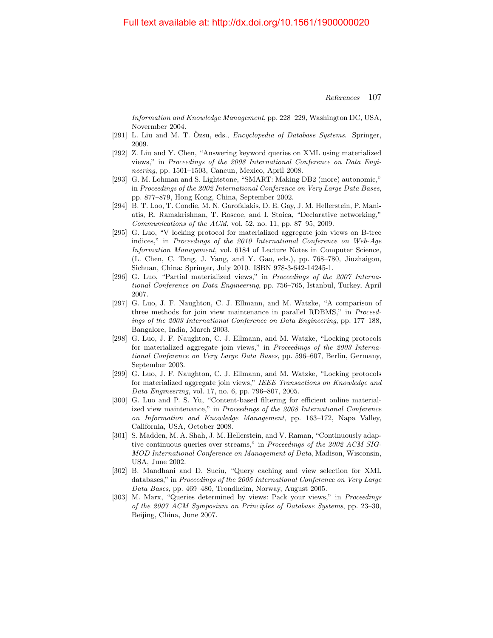Information and Knowledge Management, pp. 228–229, Washington DC, USA, Novermber 2004.

- <span id="page-34-0"></span>[291] L. Liu and M. T. Özsu, eds., *Encyclopedia of Database Systems*. Springer, 2009.
- [292] Z. Liu and Y. Chen, "Answering keyword queries on XML using materialized views," in Proceedings of the 2008 International Conference on Data Engineering, pp. 1501–1503, Cancun, Mexico, April 2008.
- [293] G. M. Lohman and S. Lightstone, "SMART: Making DB2 (more) autonomic," in Proceedings of the 2002 International Conference on Very Large Data Bases, pp. 877–879, Hong Kong, China, September 2002.
- [294] B. T. Loo, T. Condie, M. N. Garofalakis, D. E. Gay, J. M. Hellerstein, P. Maniatis, R. Ramakrishnan, T. Roscoe, and I. Stoica, "Declarative networking," Communications of the ACM, vol. 52, no. 11, pp. 87–95, 2009.
- [295] G. Luo, "V locking protocol for materialized aggregate join views on B-tree indices," in Proceedings of the 2010 International Conference on Web-Age Information Management, vol. 6184 of Lecture Notes in Computer Science, (L. Chen, C. Tang, J. Yang, and Y. Gao, eds.), pp. 768–780, Jiuzhaigou, Sichuan, China: Springer, July 2010. ISBN 978-3-642-14245-1.
- [296] G. Luo, "Partial materialized views," in Proceedings of the 2007 International Conference on Data Engineering, pp. 756–765, Istanbul, Turkey, April 2007.
- [297] G. Luo, J. F. Naughton, C. J. Ellmann, and M. Watzke, "A comparison of three methods for join view maintenance in parallel RDBMS," in Proceedings of the 2003 International Conference on Data Engineering, pp. 177–188, Bangalore, India, March 2003.
- [298] G. Luo, J. F. Naughton, C. J. Ellmann, and M. Watzke, "Locking protocols for materialized aggregate join views," in Proceedings of the 2003 International Conference on Very Large Data Bases, pp. 596–607, Berlin, Germany, September 2003.
- [299] G. Luo, J. F. Naughton, C. J. Ellmann, and M. Watzke, "Locking protocols for materialized aggregate join views," IEEE Transactions on Knowledge and Data Engineering, vol. 17, no. 6, pp. 796–807, 2005.
- [300] G. Luo and P. S. Yu, "Content-based filtering for efficient online materialized view maintenance," in Proceedings of the 2008 International Conference on Information and Knowledge Management, pp. 163–172, Napa Valley, California, USA, October 2008.
- [301] S. Madden, M. A. Shah, J. M. Hellerstein, and V. Raman, "Continuously adaptive continuous queries over streams," in Proceedings of the 2002 ACM SIG-MOD International Conference on Management of Data, Madison, Wisconsin, USA, June 2002.
- [302] B. Mandhani and D. Suciu, "Query caching and view selection for XML databases," in Proceedings of the 2005 International Conference on Very Large Data Bases, pp. 469–480, Trondheim, Norway, August 2005.
- [303] M. Marx, "Queries determined by views: Pack your views," in Proceedings of the 2007 ACM Symposium on Principles of Database Systems, pp. 23–30, Beijing, China, June 2007.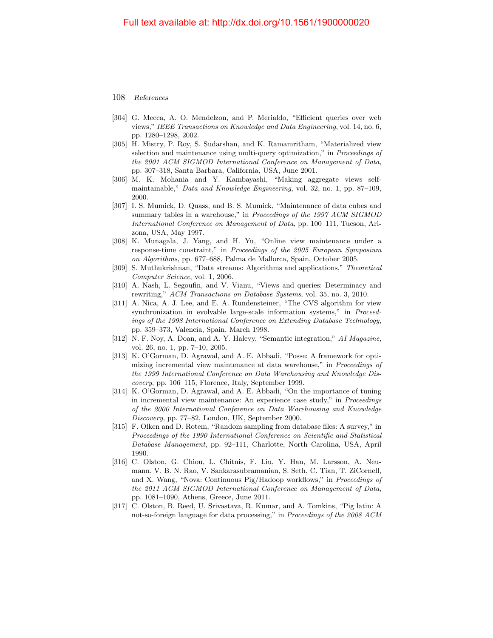- [304] G. Mecca, A. O. Mendelzon, and P. Merialdo, "Efficient queries over web views," IEEE Transactions on Knowledge and Data Engineering, vol. 14, no. 6, pp. 1280–1298, 2002.
- [305] H. Mistry, P. Roy, S. Sudarshan, and K. Ramamritham, "Materialized view selection and maintenance using multi-query optimization," in Proceedings of the 2001 ACM SIGMOD International Conference on Management of Data, pp. 307–318, Santa Barbara, California, USA, June 2001.
- [306] M. K. Mohania and Y. Kambayashi, "Making aggregate views selfmaintainable," Data and Knowledge Engineering, vol. 32, no. 1, pp. 87–109, 2000.
- [307] I. S. Mumick, D. Quass, and B. S. Mumick, "Maintenance of data cubes and summary tables in a warehouse," in Proceedings of the 1997 ACM SIGMOD International Conference on Management of Data, pp. 100–111, Tucson, Arizona, USA, May 1997.
- [308] K. Munagala, J. Yang, and H. Yu, "Online view maintenance under a response-time constraint," in Proceedings of the 2005 European Symposium on Algorithms, pp. 677–688, Palma de Mallorca, Spain, October 2005.
- [309] S. Muthukrishnan, "Data streams: Algorithms and applications," Theoretical Computer Science, vol. 1, 2006.
- [310] A. Nash, L. Segoufin, and V. Vianu, "Views and queries: Determinacy and rewriting," ACM Transactions on Database Systems, vol. 35, no. 3, 2010.
- [311] A. Nica, A. J. Lee, and E. A. Rundensteiner, "The CVS algorithm for view synchronization in evolvable large-scale information systems," in Proceedings of the 1998 International Conference on Extending Database Technology, pp. 359–373, Valencia, Spain, March 1998.
- [312] N. F. Noy, A. Doan, and A. Y. Halevy, "Semantic integration," AI Magazine, vol. 26, no. 1, pp. 7–10, 2005.
- [313] K. O'Gorman, D. Agrawal, and A. E. Abbadi, "Posse: A framework for optimizing incremental view maintenance at data warehouse," in *Proceedings of* the 1999 International Conference on Data Warehousing and Knowledge Discovery, pp. 106–115, Florence, Italy, September 1999.
- [314] K. O'Gorman, D. Agrawal, and A. E. Abbadi, "On the importance of tuning in incremental view maintenance: An experience case study," in Proceedings of the 2000 International Conference on Data Warehousing and Knowledge Discovery, pp. 77–82, London, UK, September 2000.
- [315] F. Olken and D. Rotem, "Random sampling from database files: A survey," in Proceedings of the 1990 International Conference on Scientific and Statistical Database Management, pp. 92–111, Charlotte, North Carolina, USA, April 1990.
- [316] C. Olston, G. Chiou, L. Chitnis, F. Liu, Y. Han, M. Larsson, A. Neumann, V. B. N. Rao, V. Sankarasubramanian, S. Seth, C. Tian, T. ZiCornell, and X. Wang, "Nova: Continuous Pig/Hadoop workflows," in Proceedings of the 2011 ACM SIGMOD International Conference on Management of Data, pp. 1081–1090, Athens, Greece, June 2011.
- [317] C. Olston, B. Reed, U. Srivastava, R. Kumar, and A. Tomkins, "Pig latin: A not-so-foreign language for data processing," in Proceedings of the 2008 ACM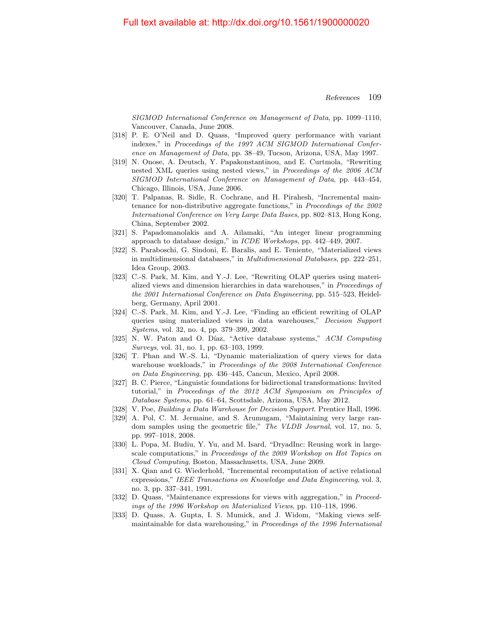SIGMOD International Conference on Management of Data, pp. 1099–1110, Vancouver, Canada, June 2008.

- [318] P. E. O'Neil and D. Quass, "Improved query performance with variant indexes," in Proceedings of the 1997 ACM SIGMOD International Conference on Management of Data, pp. 38–49, Tucson, Arizona, USA, May 1997.
- [319] N. Onose, A. Deutsch, Y. Papakonstantinou, and E. Curtmola, "Rewriting nested XML queries using nested views," in Proceedings of the 2006 ACM SIGMOD International Conference on Management of Data, pp. 443–454, Chicago, Illinois, USA, June 2006.
- [320] T. Palpanas, R. Sidle, R. Cochrane, and H. Pirahesh, "Incremental maintenance for non-distributive aggregate functions," in Proceedings of the 2002 International Conference on Very Large Data Bases, pp. 802–813, Hong Kong, China, September 2002.
- [321] S. Papadomanolakis and A. Ailamaki, "An integer linear programming approach to database design," in ICDE Workshops, pp. 442–449, 2007.
- [322] S. Paraboschi, G. Sindoni, E. Baralis, and E. Teniente, "Materialized views in multidimensional databases," in Multidimensional Databases, pp. 222–251, Idea Group, 2003.
- [323] C.-S. Park, M. Kim, and Y.-J. Lee, "Rewriting OLAP queries using materialized views and dimension hierarchies in data warehouses," in Proceedings of the 2001 International Conference on Data Engineering, pp. 515–523, Heidelberg, Germany, April 2001.
- [324] C.-S. Park, M. Kim, and Y.-J. Lee, "Finding an efficient rewriting of OLAP queries using materialized views in data warehouses," Decision Support Systems, vol. 32, no. 4, pp. 379–399, 2002.
- [325] N. W. Paton and O. Díaz, "Active database systems," ACM Computing Surveys, vol. 31, no. 1, pp. 63–103, 1999.
- [326] T. Phan and W.-S. Li, "Dynamic materialization of query views for data warehouse workloads," in Proceedings of the 2008 International Conference on Data Engineering, pp. 436–445, Cancun, Mexico, April 2008.
- [327] B. C. Pierce, "Linguistic foundations for bidirectional transformations: Invited tutorial," in Proceedings of the 2012 ACM Symposium on Principles of Database Systems, pp. 61–64, Scottsdale, Arizona, USA, May 2012.
- [328] V. Poe, Building a Data Warehouse for Decision Support. Prentice Hall, 1996.
- [329] A. Pol, C. M. Jermaine, and S. Arumugam, "Maintaining very large random samples using the geometric file," The VLDB Journal, vol. 17, no. 5, pp. 997–1018, 2008.
- [330] L. Popa, M. Budiu, Y. Yu, and M. Isard, "DryadInc: Reusing work in largescale computations," in Proceedings of the 2009 Workshop on Hot Topics on Cloud Computing, Boston, Massachusetts, USA, June 2009.
- [331] X. Qian and G. Wiederhold, "Incremental recomputation of active relational expressions," IEEE Transactions on Knowledge and Data Engineering, vol. 3, no. 3, pp. 337–341, 1991.
- [332] D. Quass, "Maintenance expressions for views with aggregation," in *Proceed*ings of the 1996 Workshop on Materialized Views, pp. 110–118, 1996.
- [333] D. Quass, A. Gupta, I. S. Mumick, and J. Widom, "Making views selfmaintainable for data warehousing," in Proceedings of the 1996 International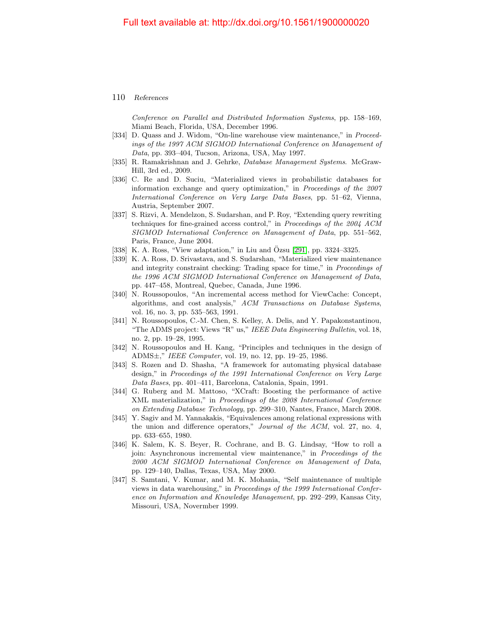Conference on Parallel and Distributed Information Systems, pp. 158–169, Miami Beach, Florida, USA, December 1996.

- [334] D. Quass and J. Widom, "On-line warehouse view maintenance," in Proceedings of the 1997 ACM SIGMOD International Conference on Management of Data, pp. 393–404, Tucson, Arizona, USA, May 1997.
- <span id="page-37-0"></span>[335] R. Ramakrishnan and J. Gehrke, Database Management Systems. McGraw-Hill, 3rd ed., 2009.
- [336] C. Re and D. Suciu, "Materialized views in probabilistic databases for information exchange and query optimization," in Proceedings of the 2007 International Conference on Very Large Data Bases, pp. 51–62, Vienna, Austria, September 2007.
- [337] S. Rizvi, A. Mendelzon, S. Sudarshan, and P. Roy, "Extending query rewriting techniques for fine-grained access control," in Proceedings of the 2004 ACM SIGMOD International Conference on Management of Data, pp. 551–562, Paris, France, June 2004.
- [338] K. A. Ross, "View adaptation," in Liu and  $\overline{O}$ zsu [\[291\]](#page-34-0), pp. 3324–3325.
- [339] K. A. Ross, D. Srivastava, and S. Sudarshan, "Materialized view maintenance and integrity constraint checking: Trading space for time," in Proceedings of the 1996 ACM SIGMOD International Conference on Management of Data, pp. 447–458, Montreal, Quebec, Canada, June 1996.
- [340] N. Roussopoulos, "An incremental access method for ViewCache: Concept, algorithms, and cost analysis," ACM Transactions on Database Systems, vol. 16, no. 3, pp. 535–563, 1991.
- [341] N. Roussopoulos, C.-M. Chen, S. Kelley, A. Delis, and Y. Papakonstantinou, "The ADMS project: Views "R" us," IEEE Data Engineering Bulletin, vol. 18, no. 2, pp. 19–28, 1995.
- [342] N. Roussopoulos and H. Kang, "Principles and techniques in the design of ADMS±," IEEE Computer, vol. 19, no. 12, pp. 19–25, 1986.
- [343] S. Rozen and D. Shasha, "A framework for automating physical database design," in Proceedings of the 1991 International Conference on Very Large Data Bases, pp. 401–411, Barcelona, Catalonia, Spain, 1991.
- [344] G. Ruberg and M. Mattoso, "XCraft: Boosting the performance of active XML materialization," in Proceedings of the 2008 International Conference on Extending Database Technology, pp. 299–310, Nantes, France, March 2008.
- [345] Y. Sagiv and M. Yannakakis, "Equivalences among relational expressions with the union and difference operators," Journal of the ACM, vol. 27, no. 4, pp. 633–655, 1980.
- [346] K. Salem, K. S. Beyer, R. Cochrane, and B. G. Lindsay, "How to roll a join: Asynchronous incremental view maintenance," in Proceedings of the 2000 ACM SIGMOD International Conference on Management of Data, pp. 129–140, Dallas, Texas, USA, May 2000.
- [347] S. Samtani, V. Kumar, and M. K. Mohania, "Self maintenance of multiple views in data warehousing," in Proceedings of the 1999 International Conference on Information and Knowledge Management, pp. 292–299, Kansas City, Missouri, USA, Novermber 1999.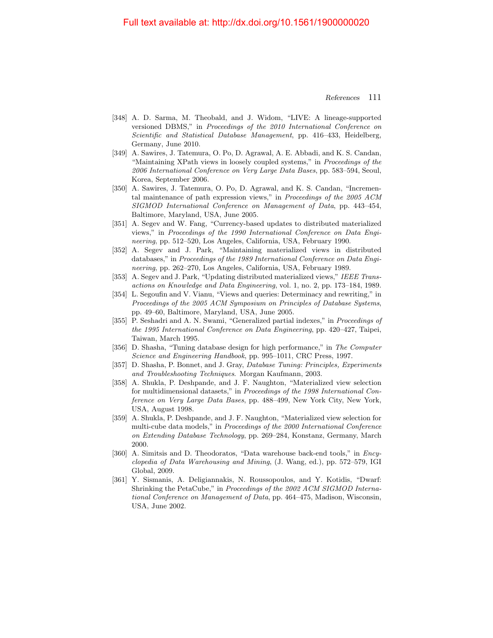- [348] A. D. Sarma, M. Theobald, and J. Widom, "LIVE: A lineage-supported versioned DBMS," in Proceedings of the 2010 International Conference on Scientific and Statistical Database Management, pp. 416–433, Heidelberg, Germany, June 2010.
- [349] A. Sawires, J. Tatemura, O. Po, D. Agrawal, A. E. Abbadi, and K. S. Candan, "Maintaining XPath views in loosely coupled systems," in Proceedings of the 2006 International Conference on Very Large Data Bases, pp. 583–594, Seoul, Korea, September 2006.
- [350] A. Sawires, J. Tatemura, O. Po, D. Agrawal, and K. S. Candan, "Incremental maintenance of path expression views," in Proceedings of the 2005 ACM SIGMOD International Conference on Management of Data, pp. 443–454, Baltimore, Maryland, USA, June 2005.
- [351] A. Segev and W. Fang, "Currency-based updates to distributed materialized views," in Proceedings of the 1990 International Conference on Data Engineering, pp. 512–520, Los Angeles, California, USA, February 1990.
- [352] A. Segev and J. Park, "Maintaining materialized views in distributed databases," in Proceedings of the 1989 International Conference on Data Engineering, pp. 262–270, Los Angeles, California, USA, February 1989.
- [353] A. Segev and J. Park, "Updating distributed materialized views," IEEE Transactions on Knowledge and Data Engineering, vol. 1, no. 2, pp. 173–184, 1989.
- [354] L. Segoufin and V. Vianu, "Views and queries: Determinacy and rewriting," in Proceedings of the 2005 ACM Symposium on Principles of Database Systems, pp. 49–60, Baltimore, Maryland, USA, June 2005.
- [355] P. Seshadri and A. N. Swami, "Generalized partial indexes," in Proceedings of the 1995 International Conference on Data Engineering, pp. 420–427, Taipei, Taiwan, March 1995.
- [356] D. Shasha, "Tuning database design for high performance," in The Computer Science and Engineering Handbook, pp. 995–1011, CRC Press, 1997.
- [357] D. Shasha, P. Bonnet, and J. Gray, Database Tuning: Principles, Experiments and Troubleshooting Techniques. Morgan Kaufmann, 2003.
- [358] A. Shukla, P. Deshpande, and J. F. Naughton, "Materialized view selection for multidimensional datasets," in Proceedings of the 1998 International Conference on Very Large Data Bases, pp. 488–499, New York City, New York, USA, August 1998.
- [359] A. Shukla, P. Deshpande, and J. F. Naughton, "Materialized view selection for multi-cube data models," in *Proceedings of the 2000 International Conference* on Extending Database Technology, pp. 269–284, Konstanz, Germany, March 2000.
- [360] A. Simitsis and D. Theodoratos, "Data warehouse back-end tools," in Encyclopedia of Data Warehousing and Mining, (J. Wang, ed.), pp. 572–579, IGI Global, 2009.
- [361] Y. Sismanis, A. Deligiannakis, N. Roussopoulos, and Y. Kotidis, "Dwarf: Shrinking the PetaCube," in Proceedings of the 2002 ACM SIGMOD International Conference on Management of Data, pp. 464–475, Madison, Wisconsin, USA, June 2002.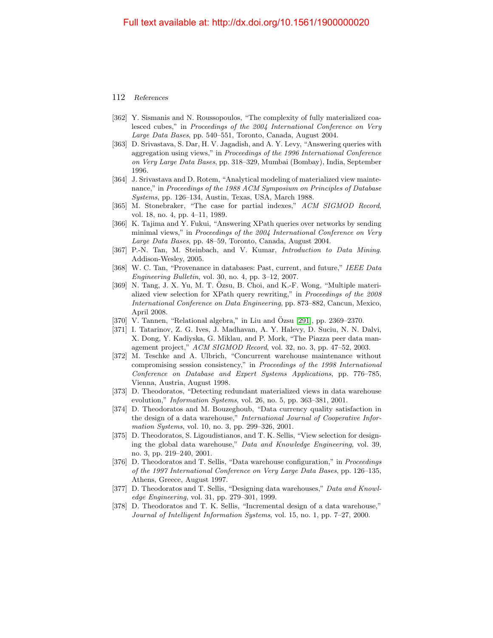- [362] Y. Sismanis and N. Roussopoulos, "The complexity of fully materialized coalesced cubes," in Proceedings of the 2004 International Conference on Very Large Data Bases, pp. 540–551, Toronto, Canada, August 2004.
- [363] D. Srivastava, S. Dar, H. V. Jagadish, and A. Y. Levy, "Answering queries with aggregation using views," in Proceedings of the 1996 International Conference on Very Large Data Bases, pp. 318–329, Mumbai (Bombay), India, September 1996.
- [364] J. Srivastava and D. Rotem, "Analytical modeling of materialized view maintenance," in Proceedings of the 1988 ACM Symposium on Principles of Database Systems, pp. 126–134, Austin, Texas, USA, March 1988.
- [365] M. Stonebraker, "The case for partial indexes," ACM SIGMOD Record, vol. 18, no. 4, pp. 4–11, 1989.
- [366] K. Tajima and Y. Fukui, "Answering XPath queries over networks by sending minimal views," in Proceedings of the 2004 International Conference on Very Large Data Bases, pp. 48–59, Toronto, Canada, August 2004.
- <span id="page-39-0"></span>[367] P.-N. Tan, M. Steinbach, and V. Kumar, *Introduction to Data Mining*. Addison-Wesley, 2005.
- [368] W. C. Tan, "Provenance in databases: Past, current, and future," IEEE Data Engineering Bulletin, vol. 30, no. 4, pp. 3–12, 2007.
- [369] N. Tang, J. X. Yu, M. T. Özsu, B. Choi, and K.-F. Wong, "Multiple materialized view selection for XPath query rewriting," in Proceedings of the 2008 International Conference on Data Engineering, pp. 873–882, Cancun, Mexico, April 2008.
- <span id="page-39-1"></span>[370] V. Tannen, "Relational algebra," in Liu and  $\overline{O}$ zsu [\[291\]](#page-34-0), pp. 2369–2370.
- [371] I. Tatarinov, Z. G. Ives, J. Madhavan, A. Y. Halevy, D. Suciu, N. N. Dalvi, X. Dong, Y. Kadiyska, G. Miklau, and P. Mork, "The Piazza peer data management project," ACM SIGMOD Record, vol. 32, no. 3, pp. 47–52, 2003.
- [372] M. Teschke and A. Ulbrich, "Concurrent warehouse maintenance without compromising session consistency," in Proceedings of the 1998 International Conference on Database and Expert Systems Applications, pp. 776–785, Vienna, Austria, August 1998.
- [373] D. Theodoratos, "Detecting redundant materialized views in data warehouse evolution," Information Systems, vol. 26, no. 5, pp. 363–381, 2001.
- [374] D. Theodoratos and M. Bouzeghoub, "Data currency quality satisfaction in the design of a data warehouse," International Journal of Cooperative Information Systems, vol. 10, no. 3, pp. 299–326, 2001.
- [375] D. Theodoratos, S. Ligoudistianos, and T. K. Sellis, "View selection for designing the global data warehouse," Data and Knowledge Engineering, vol. 39, no. 3, pp. 219–240, 2001.
- [376] D. Theodoratos and T. Sellis, "Data warehouse configuration," in Proceedings of the 1997 International Conference on Very Large Data Bases, pp. 126–135, Athens, Greece, August 1997.
- [377] D. Theodoratos and T. Sellis, "Designing data warehouses," Data and Knowledge Engineering, vol. 31, pp. 279–301, 1999.
- [378] D. Theodoratos and T. K. Sellis, "Incremental design of a data warehouse," Journal of Intelligent Information Systems, vol. 15, no. 1, pp. 7–27, 2000.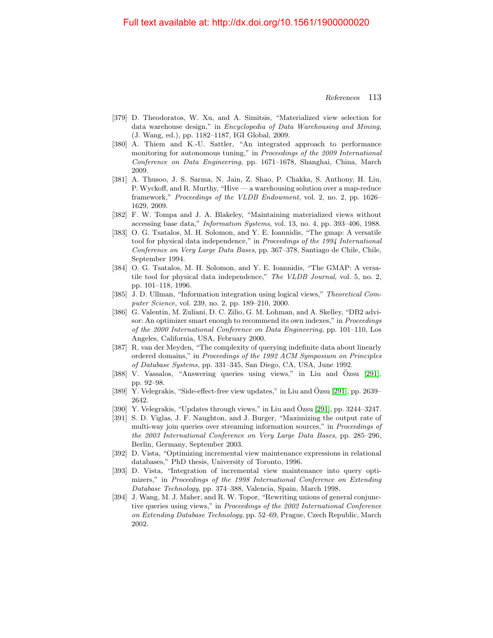- [379] D. Theodoratos, W. Xu, and A. Simitsis, "Materialized view selection for data warehouse design," in Encyclopedia of Data Warehousing and Mining, (J. Wang, ed.), pp. 1182–1187, IGI Global, 2009.
- [380] A. Thiem and K.-U. Sattler, "An integrated approach to performance monitoring for autonomous tuning," in Proceedings of the 2009 International Conference on Data Engineering, pp. 1671–1678, Shanghai, China, March 2009.
- [381] A. Thusoo, J. S. Sarma, N. Jain, Z. Shao, P. Chakka, S. Anthony, H. Liu, P. Wyckoff, and R. Murthy, "Hive — a warehousing solution over a map-reduce framework," Proceedings of the VLDB Endowment, vol. 2, no. 2, pp. 1626– 1629, 2009.
- [382] F. W. Tompa and J. A. Blakeley, "Maintaining materialized views without accessing base data," Information Systems, vol. 13, no. 4, pp. 393–406, 1988.
- [383] O. G. Tsatalos, M. H. Solomon, and Y. E. Ioannidis, "The gmap: A versatile tool for physical data independence," in Proceedings of the 1994 International Conference on Very Large Data Bases, pp. 367–378, Santiago de Chile, Chile, September 1994.
- [384] O. G. Tsatalos, M. H. Solomon, and Y. E. Ioannidis, "The GMAP: A versatile tool for physical data independence," The VLDB Journal, vol. 5, no. 2, pp. 101–118, 1996.
- [385] J. D. Ullman, "Information integration using logical views," Theoretical Computer Science, vol. 239, no. 2, pp. 189–210, 2000.
- [386] G. Valentin, M. Zuliani, D. C. Zilio, G. M. Lohman, and A. Skelley, "DB2 advisor: An optimizer smart enough to recommend its own indexes," in *Proceedings* of the 2000 International Conference on Data Engineering, pp. 101–110, Los Angeles, California, USA, February 2000.
- [387] R. van der Meyden, "The complexity of querying indefinite data about linearly ordered domains," in Proceedings of the 1992 ACM Symposium on Principles of Database Systems, pp. 331–345, San Diego, CA, USA, June 1992.
- [388] V. Vassalos, "Answering queries using views," in Liu and Ozsu [\[291\]](#page-34-0), pp. 92–98.
- [389] Y. Velegrakis, "Side-effect-free view updates," in Liu and Özsu [\[291\]](#page-34-0), pp. 2639– 2642.
- [390] Y. Velegrakis, "Updates through views," in Liu and Özsu [\[291\]](#page-34-0), pp. 3244–3247.
- [391] S. D. Viglas, J. F. Naughton, and J. Burger, "Maximizing the output rate of multi-way join queries over streaming information sources," in Proceedings of the 2003 International Conference on Very Large Data Bases, pp. 285–296, Berlin, Germany, September 2003.
- [392] D. Vista, "Optimizing incremental view maintenance expressions in relational databases," PhD thesis, University of Toronto, 1996.
- [393] D. Vista, "Integration of incremental view maintenance into query optimizers," in Proceedings of the 1998 International Conference on Extending Database Technology, pp. 374–388, Valencia, Spain, March 1998.
- [394] J. Wang, M. J. Maher, and R. W. Topor, "Rewriting unions of general conjunctive queries using views," in Proceedings of the 2002 International Conference on Extending Database Technology, pp. 52–69, Prague, Czech Republic, March 2002.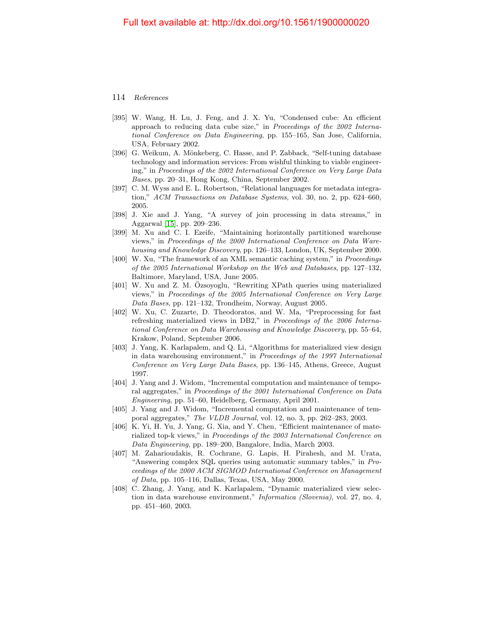- [395] W. Wang, H. Lu, J. Feng, and J. X. Yu, "Condensed cube: An efficient approach to reducing data cube size," in Proceedings of the 2002 International Conference on Data Engineering, pp. 155–165, San Jose, California, USA, February 2002.
- [396] G. Weikum, A. Mönkeberg, C. Hasse, and P. Zabback, "Self-tuning database technology and information services: From wishful thinking to viable engineering," in Proceedings of the 2002 International Conference on Very Large Data Bases, pp. 20–31, Hong Kong, China, September 2002.
- [397] C. M. Wyss and E. L. Robertson, "Relational languages for metadata integration," ACM Transactions on Database Systems, vol. 30, no. 2, pp. 624–660, 2005.
- [398] J. Xie and J. Yang, "A survey of join processing in data streams," in Aggarwal [\[15\]](#page-15-1), pp. 209–236.
- [399] M. Xu and C. I. Ezeife, "Maintaining horizontally partitioned warehouse views," in Proceedings of the 2000 International Conference on Data Warehousing and Knowledge Discovery, pp. 126–133, London, UK, September 2000.
- [400] W. Xu, "The framework of an XML semantic caching system," in Proceedings of the 2005 International Workshop on the Web and Databases, pp. 127–132, Baltimore, Maryland, USA, June 2005.
- [401] W. Xu and Z. M. Özsoyoglu, "Rewriting XPath queries using materialized views," in Proceedings of the 2005 International Conference on Very Large Data Bases, pp. 121–132, Trondheim, Norway, August 2005.
- [402] W. Xu, C. Zuzarte, D. Theodoratos, and W. Ma, "Preprocessing for fast refreshing materialized views in DB2," in Proceedings of the 2006 International Conference on Data Warehousing and Knowledge Discovery, pp. 55–64, Krakow, Poland, September 2006.
- [403] J. Yang, K. Karlapalem, and Q. Li, "Algorithms for materialized view design in data warehousing environment," in Proceedings of the 1997 International Conference on Very Large Data Bases, pp. 136–145, Athens, Greece, August 1997.
- [404] J. Yang and J. Widom, "Incremental computation and maintenance of temporal aggregates," in Proceedings of the 2001 International Conference on Data Engineering, pp. 51–60, Heidelberg, Germany, April 2001.
- [405] J. Yang and J. Widom, "Incremental computation and maintenance of temporal aggregates," The VLDB Journal, vol. 12, no. 3, pp. 262–283, 2003.
- [406] K. Yi, H. Yu, J. Yang, G. Xia, and Y. Chen, "Efficient maintenance of materialized top-k views," in Proceedings of the 2003 International Conference on Data Engineering, pp. 189–200, Bangalore, India, March 2003.
- [407] M. Zaharioudakis, R. Cochrane, G. Lapis, H. Pirahesh, and M. Urata, "Answering complex SQL queries using automatic summary tables," in Proceedings of the 2000 ACM SIGMOD International Conference on Management of Data, pp. 105–116, Dallas, Texas, USA, May 2000.
- [408] C. Zhang, J. Yang, and K. Karlapalem, "Dynamic materialized view selection in data warehouse environment," Informatica (Slovenia), vol. 27, no. 4, pp. 451–460, 2003.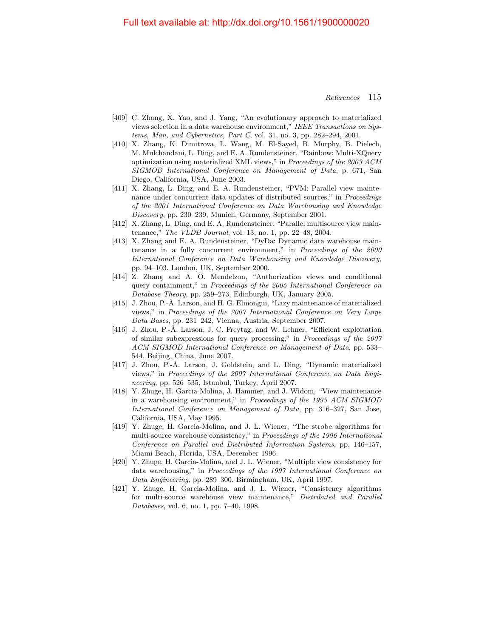- [409] C. Zhang, X. Yao, and J. Yang, "An evolutionary approach to materialized views selection in a data warehouse environment," IEEE Transactions on Systems, Man, and Cybernetics, Part C, vol. 31, no. 3, pp. 282–294, 2001.
- [410] X. Zhang, K. Dimitrova, L. Wang, M. El-Sayed, B. Murphy, B. Pielech, M. Mulchandani, L. Ding, and E. A. Rundensteiner, "Rainbow: Multi-XQuery optimization using materialized XML views," in Proceedings of the 2003 ACM SIGMOD International Conference on Management of Data, p. 671, San Diego, California, USA, June 2003.
- [411] X. Zhang, L. Ding, and E. A. Rundensteiner, "PVM: Parallel view maintenance under concurrent data updates of distributed sources," in *Proceedings* of the 2001 International Conference on Data Warehousing and Knowledge Discovery, pp. 230–239, Munich, Germany, September 2001.
- [412] X. Zhang, L. Ding, and E. A. Rundensteiner, "Parallel multisource view maintenance," The VLDB Journal, vol. 13, no. 1, pp. 22–48, 2004.
- [413] X. Zhang and E. A. Rundensteiner, "DyDa: Dynamic data warehouse maintenance in a fully concurrent environment," in Proceedings of the 2000 International Conference on Data Warehousing and Knowledge Discovery, pp. 94–103, London, UK, September 2000.
- [414] Z. Zhang and A. O. Mendelzon, "Authorization views and conditional query containment," in Proceedings of the 2005 International Conference on Database Theory, pp. 259–273, Edinburgh, UK, January 2005.
- [415] J. Zhou, P.-Å. Larson, and H. G. Elmongui, "Lazy maintenance of materialized views," in Proceedings of the 2007 International Conference on Very Large Data Bases, pp. 231–242, Vienna, Austria, September 2007.
- [416] J. Zhou, P.-Å. Larson, J. C. Freytag, and W. Lehner, "Efficient exploitation of similar subexpressions for query processing," in Proceedings of the 2007 ACM SIGMOD International Conference on Management of Data, pp. 533– 544, Beijing, China, June 2007.
- [417] J. Zhou, P.-Å. Larson, J. Goldstein, and L. Ding, "Dynamic materialized views," in Proceedings of the 2007 International Conference on Data Engineering, pp. 526–535, Istanbul, Turkey, April 2007.
- [418] Y. Zhuge, H. Garcia-Molina, J. Hammer, and J. Widom, "View maintenance in a warehousing environment," in Proceedings of the 1995 ACM SIGMOD International Conference on Management of Data, pp. 316–327, San Jose, California, USA, May 1995.
- [419] Y. Zhuge, H. Garcia-Molina, and J. L. Wiener, "The strobe algorithms for multi-source warehouse consistency," in Proceedings of the 1996 International Conference on Parallel and Distributed Information Systems, pp. 146–157, Miami Beach, Florida, USA, December 1996.
- [420] Y. Zhuge, H. Garcia-Molina, and J. L. Wiener, "Multiple view consistency for data warehousing," in Proceedings of the 1997 International Conference on Data Engineering, pp. 289–300, Birmingham, UK, April 1997.
- [421] Y. Zhuge, H. Garcia-Molina, and J. L. Wiener, "Consistency algorithms for multi-source warehouse view maintenance," Distributed and Parallel Databases, vol. 6, no. 1, pp. 7–40, 1998.